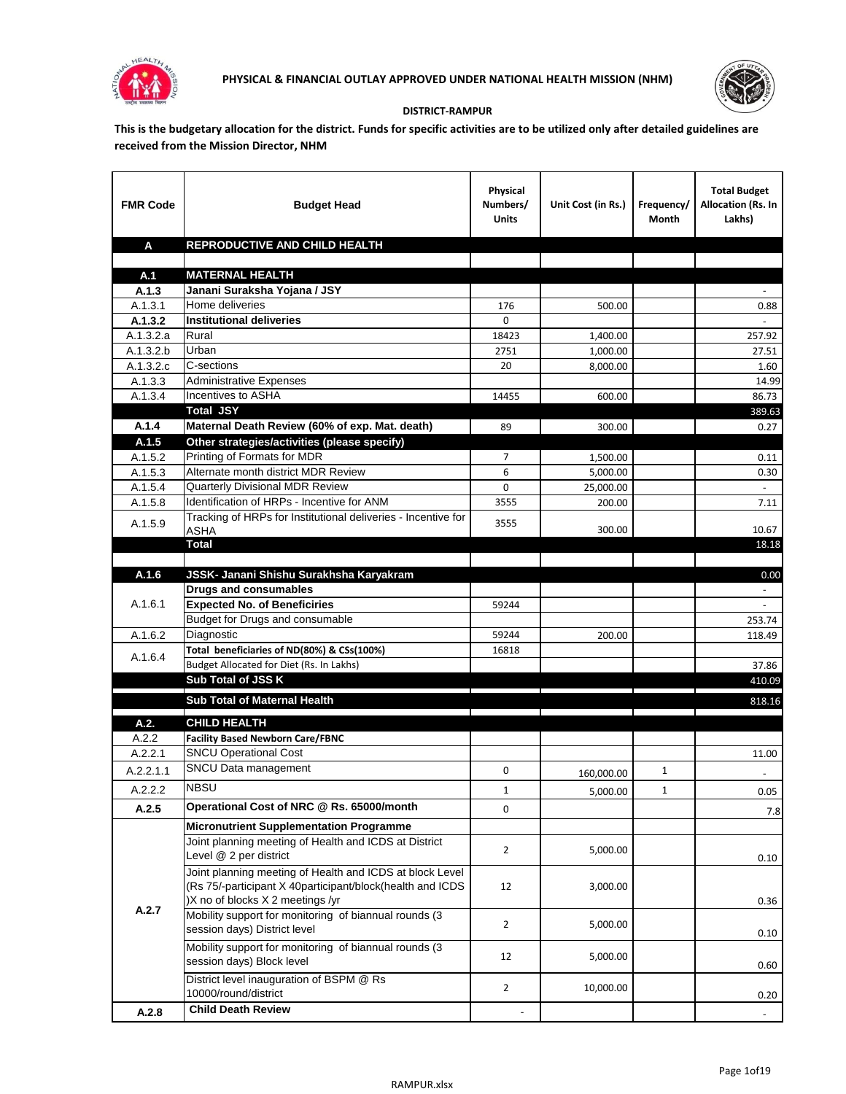



## **DISTRICT-RAMPUR**

**This is the budgetary allocation for the district. Funds for specific activities are to be utilized only after detailed guidelines are received from the Mission Director, NHM**

| <b>FMR Code</b>    | <b>Budget Head</b>                                                                                                                                        | Physical<br>Numbers/<br><b>Units</b> | Unit Cost (in Rs.)  | Frequency/<br>Month | <b>Total Budget</b><br>Allocation (Rs. In<br>Lakhs) |
|--------------------|-----------------------------------------------------------------------------------------------------------------------------------------------------------|--------------------------------------|---------------------|---------------------|-----------------------------------------------------|
| A                  | REPRODUCTIVE AND CHILD HEALTH                                                                                                                             |                                      |                     |                     |                                                     |
| A.1                | <b>MATERNAL HEALTH</b>                                                                                                                                    |                                      |                     |                     |                                                     |
| A.1.3              | Janani Suraksha Yojana / JSY                                                                                                                              |                                      |                     |                     |                                                     |
| A.1.3.1            | Home deliveries                                                                                                                                           | 176                                  | 500.00              |                     | 0.88                                                |
| A.1.3.2            | <b>Institutional deliveries</b>                                                                                                                           | $\Omega$                             |                     |                     |                                                     |
| A.1.3.2.a          | Rural                                                                                                                                                     | 18423                                | 1,400.00            |                     | 257.92                                              |
| A.1.3.2.b          | Urban                                                                                                                                                     | 2751                                 | 1,000.00            |                     | 27.51                                               |
| A.1.3.2.c          | C-sections                                                                                                                                                | 20                                   | 8.000.00            |                     | 1.60                                                |
| A.1.3.3            | <b>Administrative Expenses</b>                                                                                                                            |                                      |                     |                     | 14.99                                               |
| A.1.3.4            | Incentives to ASHA                                                                                                                                        | 14455                                | 600.00              |                     | 86.73                                               |
|                    | <b>Total JSY</b>                                                                                                                                          |                                      |                     |                     | 389.63                                              |
| A.1.4              | Maternal Death Review (60% of exp. Mat. death)                                                                                                            | 89                                   | 300.00              |                     | 0.27                                                |
| A.1.5              | Other strategies/activities (please specify)                                                                                                              |                                      |                     |                     |                                                     |
| A.1.5.2            | Printing of Formats for MDR                                                                                                                               | 7                                    | 1,500.00            |                     | 0.11                                                |
| A.1.5.3            | Alternate month district MDR Review<br><b>Quarterly Divisional MDR Review</b>                                                                             | 6<br>0                               | 5,000.00            |                     | 0.30                                                |
| A.1.5.4<br>A.1.5.8 | Identification of HRPs - Incentive for ANM                                                                                                                | 3555                                 | 25,000.00<br>200.00 |                     | $\sim$<br>7.11                                      |
|                    | Tracking of HRPs for Institutional deliveries - Incentive for                                                                                             |                                      |                     |                     |                                                     |
| A.1.5.9            | <b>ASHA</b>                                                                                                                                               | 3555                                 | 300.00              |                     | 10.67                                               |
|                    | <b>Total</b>                                                                                                                                              |                                      |                     |                     | 18.18                                               |
|                    |                                                                                                                                                           |                                      |                     |                     |                                                     |
| A.1.6              | JSSK- Janani Shishu Surakhsha Karyakram                                                                                                                   |                                      |                     |                     | 0.00                                                |
|                    | <b>Drugs and consumables</b>                                                                                                                              |                                      |                     |                     | $\sim$                                              |
| A.1.6.1            | <b>Expected No. of Beneficiries</b>                                                                                                                       | 59244                                |                     |                     |                                                     |
|                    | Budget for Drugs and consumable                                                                                                                           |                                      |                     |                     | 253.74                                              |
| A.1.6.2            | Diagnostic                                                                                                                                                | 59244                                | 200.00              |                     | 118.49                                              |
| A.1.6.4            | Total beneficiaries of ND(80%) & CSs(100%)                                                                                                                | 16818                                |                     |                     |                                                     |
|                    | Budget Allocated for Diet (Rs. In Lakhs)<br>Sub Total of JSS K                                                                                            |                                      |                     |                     | 37.86<br>410.09                                     |
|                    |                                                                                                                                                           |                                      |                     |                     |                                                     |
|                    | Sub Total of Maternal Health                                                                                                                              |                                      |                     |                     | 818.16                                              |
| A.2.               | <b>CHILD HEALTH</b>                                                                                                                                       |                                      |                     |                     |                                                     |
| A.2.2              | <b>Facility Based Newborn Care/FBNC</b>                                                                                                                   |                                      |                     |                     |                                                     |
| A.2.2.1            | <b>SNCU Operational Cost</b>                                                                                                                              |                                      |                     |                     | 11.00                                               |
| A.2.2.1.1          | SNCU Data management                                                                                                                                      | 0                                    | 160,000.00          | 1                   |                                                     |
| A.2.2.2            | <b>NBSU</b>                                                                                                                                               | $\mathbf 1$                          | 5,000.00            | 1                   | 0.05                                                |
| A.2.5              | Operational Cost of NRC @ Rs. 65000/month                                                                                                                 | 0                                    |                     |                     | 7.8                                                 |
|                    | <b>Micronutrient Supplementation Programme</b>                                                                                                            |                                      |                     |                     |                                                     |
|                    | Joint planning meeting of Health and ICDS at District                                                                                                     |                                      |                     |                     |                                                     |
|                    | Level @ 2 per district                                                                                                                                    | $\overline{2}$                       | 5,000.00            |                     | 0.10                                                |
|                    | Joint planning meeting of Health and ICDS at block Level<br>(Rs 75/-participant X 40participant/block(health and ICDS<br>)X no of blocks X 2 meetings /yr | 12                                   | 3,000.00            |                     | 0.36                                                |
| A.2.7              | Mobility support for monitoring of biannual rounds (3<br>session days) District level                                                                     | $\overline{2}$                       | 5,000.00            |                     | 0.10                                                |
|                    | Mobility support for monitoring of biannual rounds (3<br>session days) Block level                                                                        | 12                                   | 5,000.00            |                     | 0.60                                                |
|                    | District level inauguration of BSPM @ Rs<br>10000/round/district                                                                                          | $\overline{2}$                       | 10,000.00           |                     | 0.20                                                |
| A.2.8              | <b>Child Death Review</b>                                                                                                                                 |                                      |                     |                     |                                                     |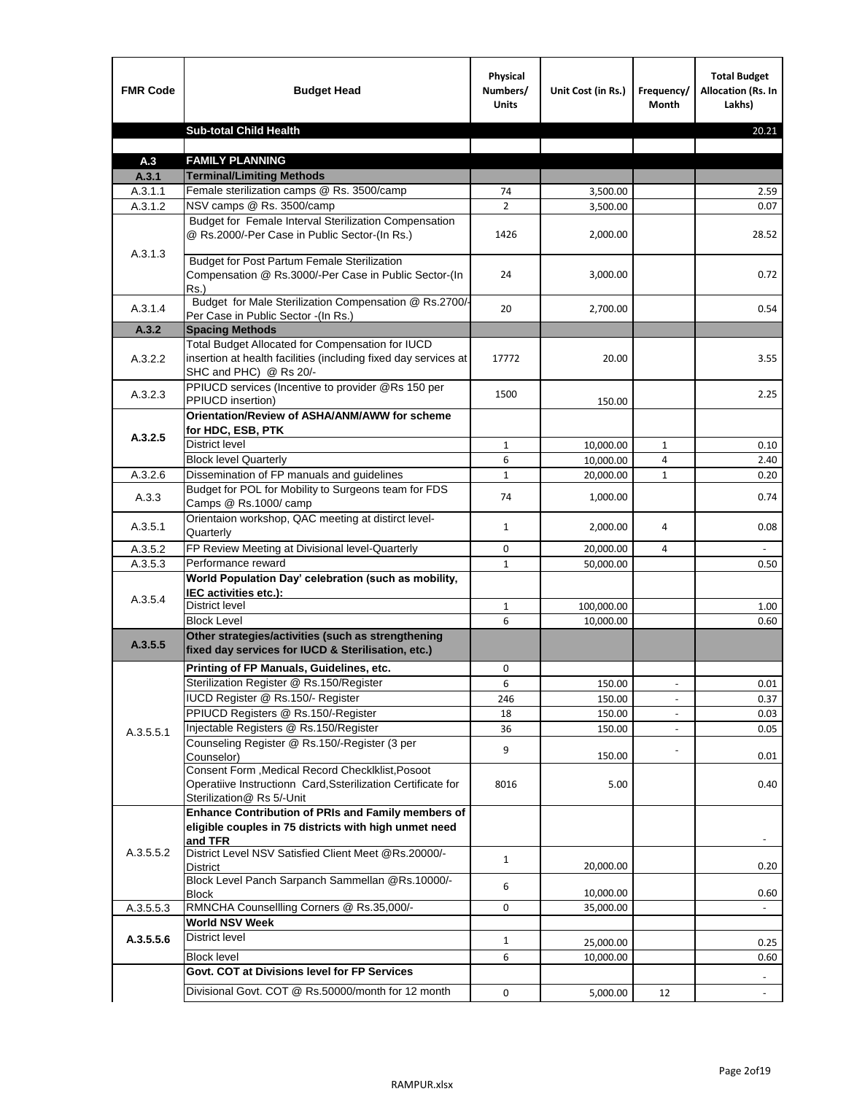| <b>FMR Code</b>    | <b>Budget Head</b>                                                                                                                             | Physical<br>Numbers/<br><b>Units</b> | Unit Cost (in Rs.) | Frequency/<br>Month | <b>Total Budget</b><br><b>Allocation (Rs. In</b><br>Lakhs) |
|--------------------|------------------------------------------------------------------------------------------------------------------------------------------------|--------------------------------------|--------------------|---------------------|------------------------------------------------------------|
|                    | <b>Sub-total Child Health</b>                                                                                                                  |                                      |                    |                     | 20.21                                                      |
|                    |                                                                                                                                                |                                      |                    |                     |                                                            |
| A.3                | <b>FAMILY PLANNING</b>                                                                                                                         |                                      |                    |                     |                                                            |
| A.3.1              | <b>Terminal/Limiting Methods</b>                                                                                                               |                                      |                    |                     |                                                            |
| A.3.1.1<br>A.3.1.2 | Female sterilization camps @ Rs. 3500/camp<br>NSV camps @ Rs. 3500/camp                                                                        | 74<br>$\overline{2}$                 | 3,500.00           |                     | 2.59<br>0.07                                               |
|                    | Budget for Female Interval Sterilization Compensation                                                                                          |                                      | 3,500.00           |                     |                                                            |
| A.3.1.3            | @ Rs.2000/-Per Case in Public Sector-(In Rs.)                                                                                                  | 1426                                 | 2,000.00           |                     | 28.52                                                      |
|                    | <b>Budget for Post Partum Female Sterilization</b><br>Compensation @ Rs.3000/-Per Case in Public Sector-(In<br>$Rs.$ )                         | 24                                   | 3,000.00           |                     | 0.72                                                       |
| A.3.1.4            | Budget for Male Sterilization Compensation @ Rs.2700/-<br>Per Case in Public Sector -(In Rs.)                                                  | 20                                   | 2,700.00           |                     | 0.54                                                       |
| A.3.2              | <b>Spacing Methods</b>                                                                                                                         |                                      |                    |                     |                                                            |
| A.3.2.2            | Total Budget Allocated for Compensation for IUCD<br>insertion at health facilities (including fixed day services at<br>SHC and PHC) @ Rs 20/-  | 17772                                | 20.00              |                     | 3.55                                                       |
| A.3.2.3            | PPIUCD services (Incentive to provider @Rs 150 per<br>PPIUCD insertion)                                                                        | 1500                                 | 150.00             |                     | 2.25                                                       |
| A.3.2.5            | Orientation/Review of ASHA/ANM/AWW for scheme<br>for HDC, ESB, PTK                                                                             |                                      |                    |                     |                                                            |
|                    | <b>District level</b>                                                                                                                          | $\mathbf{1}$                         | 10,000.00          | $\mathbf{1}$        | 0.10                                                       |
|                    | <b>Block level Quarterly</b>                                                                                                                   | 6                                    | 10,000.00          | 4                   | 2.40                                                       |
| A.3.2.6            | Dissemination of FP manuals and guidelines                                                                                                     | $\mathbf{1}$                         | 20,000.00          | 1                   | 0.20                                                       |
| A.3.3              | Budget for POL for Mobility to Surgeons team for FDS<br>Camps @ Rs.1000/camp                                                                   | 74                                   | 1,000.00           |                     | 0.74                                                       |
| A.3.5.1            | Orientaion workshop, QAC meeting at distirct level-<br>Quarterly                                                                               | 1                                    | 2,000.00           | 4                   | 0.08                                                       |
| A.3.5.2            | FP Review Meeting at Divisional level-Quarterly                                                                                                | 0                                    | 20,000.00          | 4                   |                                                            |
| A.3.5.3            | Performance reward                                                                                                                             | $\mathbf{1}$                         | 50,000.00          |                     | 0.50                                                       |
| A.3.5.4            | World Population Day' celebration (such as mobility,<br>IEC activities etc.):                                                                  |                                      |                    |                     |                                                            |
|                    | District level                                                                                                                                 | $\mathbf{1}$                         | 100,000.00         |                     | 1.00                                                       |
|                    | <b>Block Level</b>                                                                                                                             | 6                                    | 10,000.00          |                     | 0.60                                                       |
| A.3.5.5            | Other strategies/activities (such as strengthening<br>fixed day services for IUCD & Sterilisation, etc.)                                       |                                      |                    |                     |                                                            |
|                    | Printing of FP Manuals, Guidelines, etc.                                                                                                       | $\mathbf 0$                          |                    |                     |                                                            |
|                    | Sterilization Register @ Rs.150/Register                                                                                                       | 6                                    | 150.00             |                     | 0.01                                                       |
|                    | IUCD Register @ Rs.150/- Register                                                                                                              | 246                                  | 150.00             |                     | 0.37                                                       |
|                    | PPIUCD Registers @ Rs.150/-Register                                                                                                            | 18                                   | 150.00             |                     | 0.03                                                       |
| A.3.5.5.1          | Injectable Registers @ Rs.150/Register                                                                                                         | 36                                   | 150.00             |                     | 0.05                                                       |
|                    | Counseling Register @ Rs.150/-Register (3 per<br>Counselor)                                                                                    | 9                                    | 150.00             |                     | 0.01                                                       |
|                    | Consent Form , Medical Record CheckIklist, Posoot<br>Operatiive Instructionn Card, Ssterilization Certificate for<br>Sterilization@ Rs 5/-Unit | 8016                                 | 5.00               |                     | 0.40                                                       |
|                    | Enhance Contribution of PRIs and Family members of<br>eligible couples in 75 districts with high unmet need<br>and TFR                         |                                      |                    |                     |                                                            |
| A.3.5.5.2          | District Level NSV Satisfied Client Meet @Rs.20000/-<br><b>District</b>                                                                        | $\mathbf{1}$                         | 20,000.00          |                     | 0.20                                                       |
|                    | Block Level Panch Sarpanch Sammellan @Rs.10000/-<br><b>Block</b>                                                                               | 6                                    | 10,000.00          |                     | 0.60                                                       |
| A.3.5.5.3          | RMNCHA Counsellling Corners @ Rs.35,000/-                                                                                                      | 0                                    | 35,000.00          |                     |                                                            |
|                    | <b>World NSV Week</b>                                                                                                                          |                                      |                    |                     |                                                            |
| A.3.5.5.6          | <b>District level</b>                                                                                                                          | $\mathbf{1}$                         | 25,000.00          |                     | 0.25                                                       |
|                    | <b>Block level</b>                                                                                                                             | 6                                    | 10,000.00          |                     | 0.60                                                       |
|                    | Govt. COT at Divisions level for FP Services                                                                                                   |                                      |                    |                     |                                                            |
|                    | Divisional Govt. COT @ Rs.50000/month for 12 month                                                                                             | 0                                    | 5,000.00           | 12                  |                                                            |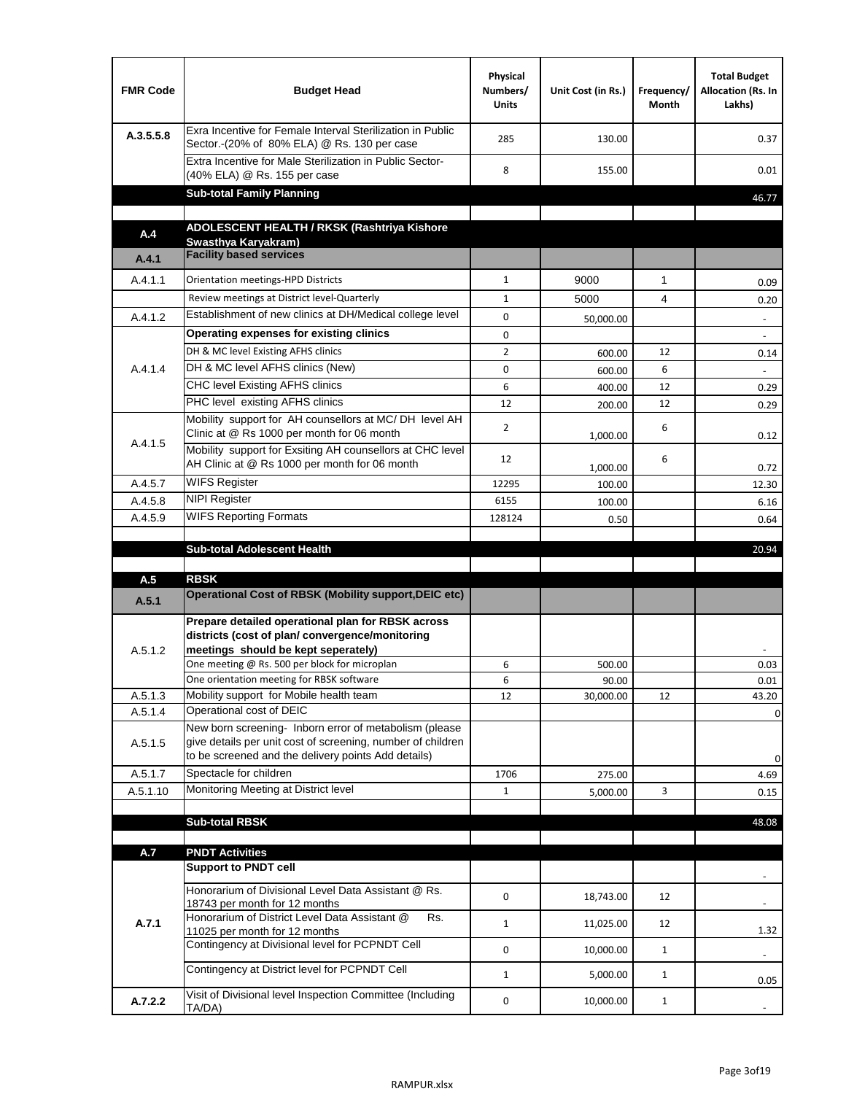| <b>FMR Code</b> | <b>Budget Head</b>                                                                                                                                                           | Physical<br>Numbers/<br><b>Units</b> | Unit Cost (in Rs.) | Frequency/<br>Month | <b>Total Budget</b><br>Allocation (Rs. In<br>Lakhs) |
|-----------------|------------------------------------------------------------------------------------------------------------------------------------------------------------------------------|--------------------------------------|--------------------|---------------------|-----------------------------------------------------|
| A.3.5.5.8       | Exra Incentive for Female Interval Sterilization in Public<br>Sector.-(20% of 80% ELA) @ Rs. 130 per case                                                                    | 285                                  | 130.00             |                     | 0.37                                                |
|                 | Extra Incentive for Male Sterilization in Public Sector-<br>(40% ELA) @ Rs. 155 per case                                                                                     | 8                                    | 155.00             |                     | 0.01                                                |
|                 | <b>Sub-total Family Planning</b>                                                                                                                                             |                                      |                    |                     | 46.77                                               |
|                 | ADOLESCENT HEALTH / RKSK (Rashtriya Kishore                                                                                                                                  |                                      |                    |                     |                                                     |
| A.4             | Swasthya Karyakram)<br><b>Facility based services</b>                                                                                                                        |                                      |                    |                     |                                                     |
| A.4.1           |                                                                                                                                                                              |                                      |                    |                     |                                                     |
| A.4.1.1         | Orientation meetings-HPD Districts                                                                                                                                           | $\mathbf{1}$                         | 9000               | $\mathbf{1}$        | 0.09                                                |
|                 | Review meetings at District level-Quarterly                                                                                                                                  | $\mathbf{1}$                         | 5000               | 4                   | 0.20                                                |
| A.4.1.2         | Establishment of new clinics at DH/Medical college level                                                                                                                     | 0                                    | 50,000.00          |                     | $\overline{\phantom{a}}$                            |
|                 | Operating expenses for existing clinics                                                                                                                                      | 0                                    |                    |                     |                                                     |
|                 | DH & MC level Existing AFHS clinics                                                                                                                                          | $\overline{2}$                       | 600.00             | 12                  | 0.14                                                |
| A.4.1.4         | DH & MC level AFHS clinics (New)                                                                                                                                             | 0                                    | 600.00             | 6                   |                                                     |
|                 | <b>CHC level Existing AFHS clinics</b>                                                                                                                                       | 6                                    | 400.00             | 12                  | 0.29                                                |
|                 | PHC level existing AFHS clinics<br>Mobility support for AH counsellors at MC/DH level AH                                                                                     | 12                                   | 200.00             | 12                  | 0.29                                                |
| A.4.1.5         | Clinic at @ Rs 1000 per month for 06 month<br>Mobility support for Exsiting AH counsellors at CHC level                                                                      | $\overline{2}$                       | 1,000.00           | 6                   | 0.12                                                |
|                 | AH Clinic at @ Rs 1000 per month for 06 month                                                                                                                                | 12                                   | 1,000.00           | 6                   | 0.72                                                |
| A.4.5.7         | <b>WIFS Register</b>                                                                                                                                                         | 12295                                | 100.00             |                     | 12.30                                               |
| A.4.5.8         | <b>NIPI Register</b>                                                                                                                                                         | 6155                                 | 100.00             |                     | 6.16                                                |
| A.4.5.9         | <b>WIFS Reporting Formats</b>                                                                                                                                                | 128124                               | 0.50               |                     | 0.64                                                |
|                 |                                                                                                                                                                              |                                      |                    |                     |                                                     |
|                 | <b>Sub-total Adolescent Health</b>                                                                                                                                           |                                      |                    |                     | 20.94                                               |
| A.5             | <b>RBSK</b>                                                                                                                                                                  |                                      |                    |                     |                                                     |
| A.5.1           | Operational Cost of RBSK (Mobility support, DEIC etc)                                                                                                                        |                                      |                    |                     |                                                     |
| A.5.1.2         | Prepare detailed operational plan for RBSK across<br>districts (cost of plan/convergence/monitoring<br>meetings should be kept seperately)                                   |                                      |                    |                     |                                                     |
|                 |                                                                                                                                                                              |                                      |                    |                     |                                                     |
|                 | One meeting @ Rs. 500 per block for microplan                                                                                                                                | 6                                    | 500.00             |                     | 0.03                                                |
| A.5.1.3         | One orientation meeting for RBSK software<br>Mobility support for Mobile health team                                                                                         | 6<br>12                              | 90.00<br>30,000.00 | 12                  | 0.01<br>43.20                                       |
| A.5.1.4         | Operational cost of DEIC                                                                                                                                                     |                                      |                    |                     | 0                                                   |
| A.5.1.5         | New born screening- Inborn error of metabolism (please<br>give details per unit cost of screening, number of children<br>to be screened and the delivery points Add details) |                                      |                    |                     | 0                                                   |
| A.5.1.7         | Spectacle for children                                                                                                                                                       | 1706                                 | 275.00             |                     | 4.69                                                |
| A.5.1.10        | Monitoring Meeting at District level                                                                                                                                         | $\mathbf{1}$                         | 5,000.00           | 3                   | 0.15                                                |
|                 |                                                                                                                                                                              |                                      |                    |                     |                                                     |
|                 | <b>Sub-total RBSK</b>                                                                                                                                                        |                                      |                    |                     | 48.08                                               |
| A.7             | <b>PNDT Activities</b>                                                                                                                                                       |                                      |                    |                     |                                                     |
|                 | <b>Support to PNDT cell</b>                                                                                                                                                  |                                      |                    |                     |                                                     |
|                 | Honorarium of Divisional Level Data Assistant @ Rs.<br>18743 per month for 12 months                                                                                         | 0                                    | 18,743.00          | 12                  |                                                     |
| A.7.1           | Honorarium of District Level Data Assistant @<br>Rs.                                                                                                                         | $\mathbf{1}$                         | 11,025.00          | 12                  |                                                     |
|                 | 11025 per month for 12 months<br>Contingency at Divisional level for PCPNDT Cell                                                                                             | 0                                    | 10,000.00          | $\mathbf{1}$        | 1.32<br>$\overline{\phantom{a}}$                    |
|                 | Contingency at District level for PCPNDT Cell                                                                                                                                | $\mathbf{1}$                         | 5,000.00           | $\mathbf{1}$        | 0.05                                                |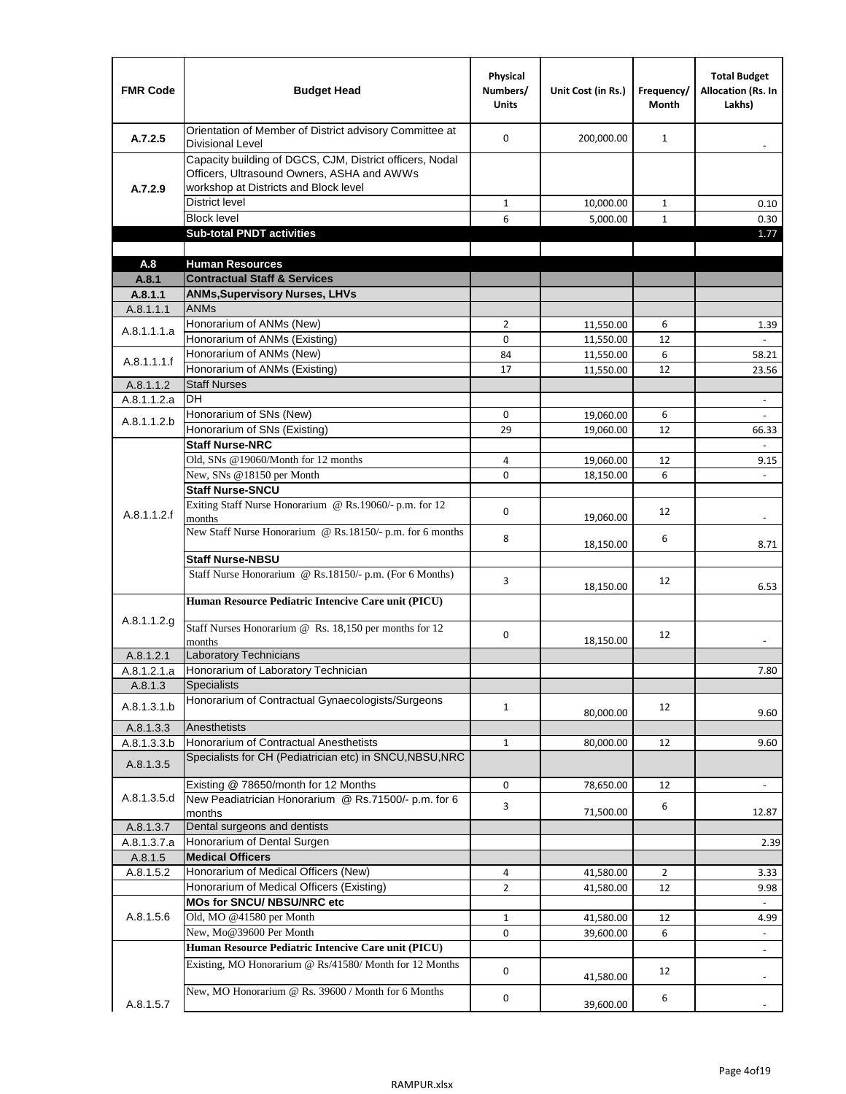| <b>FMR Code</b>      | <b>Budget Head</b>                                                                                                                              | Physical<br>Numbers/<br><b>Units</b> | Unit Cost (in Rs.)     | Frequency/<br><b>Month</b> | <b>Total Budget</b><br><b>Allocation (Rs. In</b><br>Lakhs) |
|----------------------|-------------------------------------------------------------------------------------------------------------------------------------------------|--------------------------------------|------------------------|----------------------------|------------------------------------------------------------|
| A.7.2.5              | Orientation of Member of District advisory Committee at<br><b>Divisional Level</b>                                                              | $\Omega$                             | 200,000.00             | $\mathbf{1}$               | $\overline{\phantom{m}}$                                   |
| A.7.2.9              | Capacity building of DGCS, CJM, District officers, Nodal<br>Officers, Ultrasound Owners, ASHA and AWWs<br>workshop at Districts and Block level |                                      |                        |                            |                                                            |
|                      | <b>District level</b>                                                                                                                           | $\mathbf{1}$                         | 10,000.00              | 1                          | 0.10                                                       |
|                      | <b>Block level</b>                                                                                                                              | 6                                    | 5,000.00               | $\mathbf{1}$               | 0.30                                                       |
|                      | <b>Sub-total PNDT activities</b>                                                                                                                |                                      |                        |                            | 1.77                                                       |
|                      |                                                                                                                                                 |                                      |                        |                            |                                                            |
| A.8                  | <b>Human Resources</b>                                                                                                                          |                                      |                        |                            |                                                            |
| A.8.1                | <b>Contractual Staff &amp; Services</b>                                                                                                         |                                      |                        |                            |                                                            |
| A.8.1.1<br>A.8.1.1.1 | <b>ANMs, Supervisory Nurses, LHVs</b><br><b>ANMs</b>                                                                                            |                                      |                        |                            |                                                            |
|                      | Honorarium of ANMs (New)                                                                                                                        | $\overline{2}$                       |                        | 6                          |                                                            |
| A.8.1.1.1.a          | Honorarium of ANMs (Existing)                                                                                                                   | 0                                    | 11,550.00<br>11,550.00 | 12                         | 1.39                                                       |
|                      | Honorarium of ANMs (New)                                                                                                                        | 84                                   | 11,550.00              | 6                          | 58.21                                                      |
| A.8.1.1.1.f          | Honorarium of ANMs (Existing)                                                                                                                   | 17                                   | 11,550.00              | 12                         | 23.56                                                      |
| A.8.1.1.2            | <b>Staff Nurses</b>                                                                                                                             |                                      |                        |                            |                                                            |
| A.8.1.1.2.a          | <b>DH</b>                                                                                                                                       |                                      |                        |                            | $\blacksquare$                                             |
|                      | Honorarium of SNs (New)                                                                                                                         | 0                                    | 19,060.00              | 6                          |                                                            |
| A.8.1.1.2.b          | Honorarium of SNs (Existing)                                                                                                                    | 29                                   | 19.060.00              | 12                         | 66.33                                                      |
|                      | <b>Staff Nurse-NRC</b>                                                                                                                          |                                      |                        |                            | $\overline{a}$                                             |
|                      | Old, SNs @19060/Month for 12 months                                                                                                             | 4                                    | 19,060.00              | 12                         | 9.15                                                       |
|                      | New, SNs @18150 per Month                                                                                                                       | 0                                    | 18,150.00              | 6                          |                                                            |
|                      | <b>Staff Nurse-SNCU</b>                                                                                                                         |                                      |                        |                            |                                                            |
| A.8.1.1.2.f          | Exiting Staff Nurse Honorarium @ Rs.19060/- p.m. for 12<br>months                                                                               | $\Omega$                             | 19,060.00              | 12                         | -                                                          |
|                      | New Staff Nurse Honorarium @ Rs.18150/- p.m. for 6 months                                                                                       | 8                                    | 18,150.00              | 6                          | 8.71                                                       |
|                      | <b>Staff Nurse-NBSU</b>                                                                                                                         |                                      |                        |                            |                                                            |
|                      | Staff Nurse Honorarium @ Rs.18150/- p.m. (For 6 Months)                                                                                         | 3                                    | 18,150.00              | 12                         | 6.53                                                       |
|                      | Human Resource Pediatric Intencive Care unit (PICU)                                                                                             |                                      |                        |                            |                                                            |
| A.8.1.1.2.g          | Staff Nurses Honorarium @ Rs. 18,150 per months for 12<br>months                                                                                | 0                                    | 18,150.00              | 12                         |                                                            |
| A.8.1.2.1            | Laboratory Technicians                                                                                                                          |                                      |                        |                            |                                                            |
| A.8.1.2.1.a          | Honorarium of Laboratory Technician                                                                                                             |                                      |                        |                            | 7.80                                                       |
| A.8.1.3              | <b>Specialists</b>                                                                                                                              |                                      |                        |                            |                                                            |
| A.8.1.3.1.b          | Honorarium of Contractual Gynaecologists/Surgeons                                                                                               | $\mathbf{1}$                         | 80,000.00              | 12                         | 9.60                                                       |
| A.8.1.3.3            | Anesthetists                                                                                                                                    |                                      |                        |                            |                                                            |
| A.8.1.3.3.b          | Honorarium of Contractual Anesthetists                                                                                                          | $\mathbf{1}$                         | 80,000.00              | 12                         | 9.60                                                       |
| A.8.1.3.5            | Specialists for CH (Pediatrician etc) in SNCU, NBSU, NRC                                                                                        |                                      |                        |                            |                                                            |
|                      | Existing @ 78650/month for 12 Months                                                                                                            | 0                                    | 78,650.00              | 12                         | $\blacksquare$                                             |
| A.8.1.3.5.d          | New Peadiatrician Honorarium @ Rs.71500/- p.m. for 6<br>months                                                                                  | 3                                    | 71,500.00              | 6                          | 12.87                                                      |
| A.8.1.3.7            | Dental surgeons and dentists                                                                                                                    |                                      |                        |                            |                                                            |
| A.8.1.3.7.a          | Honorarium of Dental Surgen                                                                                                                     |                                      |                        |                            | 2.39                                                       |
| A.8.1.5              | <b>Medical Officers</b>                                                                                                                         |                                      |                        |                            |                                                            |
| A.8.1.5.2            | Honorarium of Medical Officers (New)                                                                                                            | 4                                    | 41,580.00              | $\overline{2}$             | 3.33                                                       |
|                      | Honorarium of Medical Officers (Existing)                                                                                                       | $\overline{2}$                       | 41,580.00              | 12                         | 9.98                                                       |
|                      | MOs for SNCU/ NBSU/NRC etc                                                                                                                      |                                      |                        |                            |                                                            |
| A.8.1.5.6            | Old, MO @41580 per Month                                                                                                                        | $\mathbf{1}$                         | 41,580.00              | 12                         | 4.99                                                       |
|                      | New, Mo@39600 Per Month                                                                                                                         | 0                                    | 39,600.00              | 6                          | $\overline{\phantom{a}}$                                   |
|                      | Human Resource Pediatric Intencive Care unit (PICU)                                                                                             |                                      |                        |                            | $\frac{1}{2}$                                              |
|                      | Existing, MO Honorarium @ Rs/41580/ Month for 12 Months                                                                                         | $\mathbf 0$                          | 41,580.00              | 12                         |                                                            |
| A.8.1.5.7            | New, MO Honorarium @ Rs. 39600 / Month for 6 Months                                                                                             | 0                                    | 39,600.00              | 6                          |                                                            |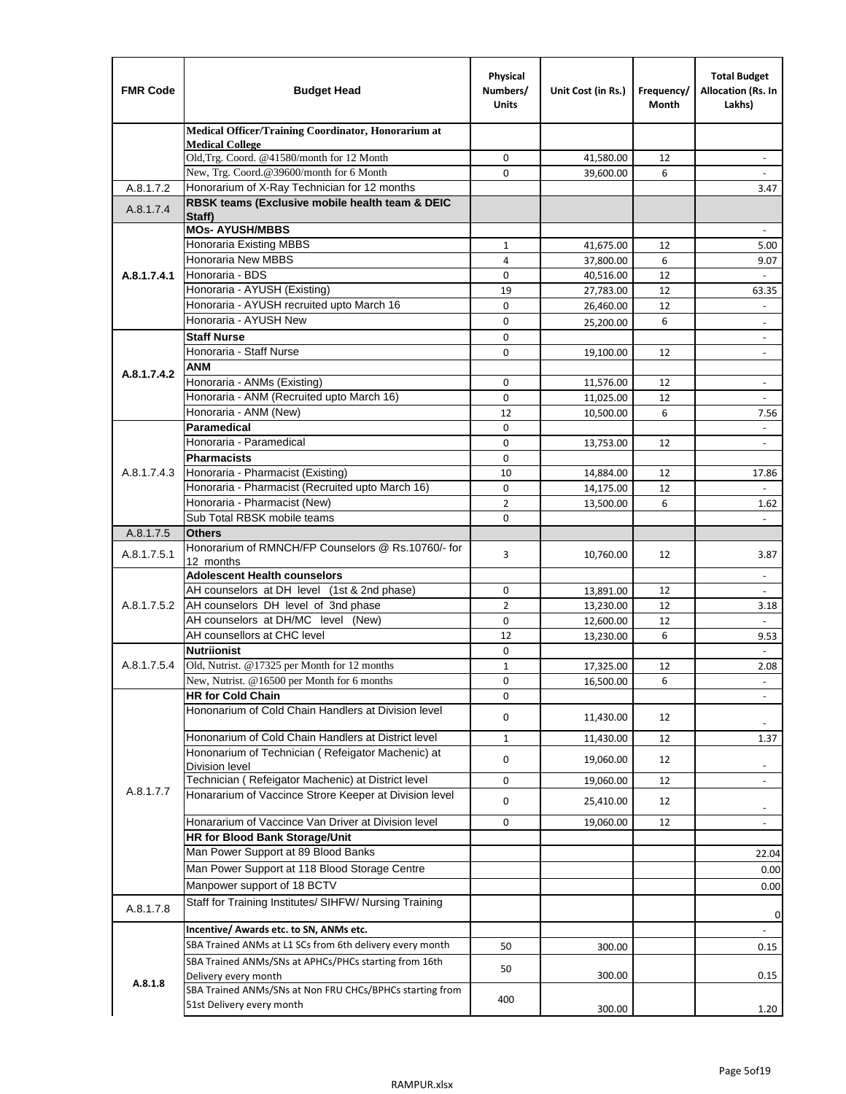| <b>FMR Code</b> | <b>Budget Head</b>                                                               | Physical<br>Numbers/<br><b>Units</b> | Unit Cost (in Rs.)     | Frequency/<br>Month | <b>Total Budget</b><br>Allocation (Rs. In<br>Lakhs) |
|-----------------|----------------------------------------------------------------------------------|--------------------------------------|------------------------|---------------------|-----------------------------------------------------|
|                 | Medical Officer/Training Coordinator, Honorarium at                              |                                      |                        |                     |                                                     |
|                 | <b>Medical College</b><br>Old, Trg. Coord. @41580/month for 12 Month             | $\mathbf 0$                          | 41,580.00              | 12                  | $\overline{\phantom{a}}$                            |
|                 | New, Trg. Coord.@39600/month for 6 Month                                         | $\Omega$                             | 39,600.00              | 6                   |                                                     |
| A.8.1.7.2       | Honorarium of X-Ray Technician for 12 months                                     |                                      |                        |                     | 3.47                                                |
| A.8.1.7.4       | RBSK teams (Exclusive mobile health team & DEIC                                  |                                      |                        |                     |                                                     |
|                 | Staff)                                                                           |                                      |                        |                     |                                                     |
|                 | <b>MOs- AYUSH/MBBS</b>                                                           |                                      |                        |                     |                                                     |
|                 | <b>Honoraria Existing MBBS</b><br>Honoraria New MBBS                             | $\mathbf{1}$<br>4                    | 41,675.00<br>37,800.00 | 12<br>6             | 5.00<br>9.07                                        |
| A.8.1.7.4.1     | Honoraria - BDS                                                                  | 0                                    | 40,516.00              | 12                  |                                                     |
|                 | Honoraria - AYUSH (Existing)                                                     | 19                                   | 27,783.00              | 12                  | 63.35                                               |
|                 | Honoraria - AYUSH recruited upto March 16                                        | $\Omega$                             | 26,460.00              | 12                  | $\overline{\phantom{a}}$                            |
|                 | Honoraria - AYUSH New                                                            | $\mathbf 0$                          | 25,200.00              | 6                   | $\overline{\phantom{a}}$                            |
|                 | <b>Staff Nurse</b>                                                               | $\Omega$                             |                        |                     | $\overline{\phantom{a}}$                            |
|                 | Honoraria - Staff Nurse                                                          | 0                                    | 19,100.00              | 12                  | $\overline{\phantom{a}}$                            |
| A.8.1.7.4.2     | <b>ANM</b>                                                                       |                                      |                        |                     |                                                     |
|                 | Honoraria - ANMs (Existing)                                                      | $\mathbf 0$                          | 11,576.00              | 12                  | $\blacksquare$                                      |
|                 | Honoraria - ANM (Recruited upto March 16)                                        | 0                                    | 11,025.00              | 12                  | $\blacksquare$                                      |
|                 | Honoraria - ANM (New)                                                            | 12                                   | 10,500.00              | 6                   | 7.56                                                |
|                 | Paramedical                                                                      | $\mathbf 0$                          |                        |                     | $\omega$                                            |
|                 | Honoraria - Paramedical                                                          | $\mathbf 0$                          | 13,753.00              | 12                  | $\overline{\phantom{a}}$                            |
|                 | <b>Pharmacists</b>                                                               | $\mathbf 0$                          |                        |                     |                                                     |
| A.8.1.7.4.3     | Honoraria - Pharmacist (Existing)                                                | 10                                   | 14,884.00              | 12                  | 17.86                                               |
|                 | Honoraria - Pharmacist (Recruited upto March 16)<br>Honoraria - Pharmacist (New) | $\mathbf 0$<br>$\overline{2}$        | 14,175.00              | 12<br>6             |                                                     |
|                 | Sub Total RBSK mobile teams                                                      | $\Omega$                             | 13,500.00              |                     | 1.62<br>$\blacksquare$                              |
| A.8.1.7.5       | <b>Others</b>                                                                    |                                      |                        |                     |                                                     |
|                 | Honorarium of RMNCH/FP Counselors @ Rs.10760/- for                               |                                      |                        |                     |                                                     |
| A.8.1.7.5.1     | 12 months                                                                        | 3                                    | 10,760.00              | 12                  | 3.87                                                |
|                 | <b>Adolescent Health counselors</b>                                              |                                      |                        |                     | $\sim$                                              |
|                 | AH counselors at DH level (1st & 2nd phase)                                      | 0                                    | 13,891.00              | 12                  |                                                     |
| A.8.1.7.5.2     | AH counselors DH level of 3nd phase                                              | $\overline{2}$                       | 13,230.00              | 12                  | 3.18                                                |
|                 | AH counselors at DH/MC level (New)                                               | $\mathbf 0$                          | 12,600.00              | 12                  | $\blacksquare$                                      |
|                 | AH counsellors at CHC level                                                      | 12                                   | 13,230.00              | 6                   | 9.53                                                |
| A.8.1.7.5.4     | <b>Nutriionist</b><br>Old, Nutrist. @17325 per Month for 12 months               | $\mathbf 0$                          |                        |                     | $\omega$                                            |
|                 |                                                                                  | $\mathbf{1}$                         | 17,325.00              | 12                  | 2.08<br>$\overline{\phantom{a}}$                    |
|                 | New, Nutrist. $@16500$ per Month for 6 months<br><b>HR for Cold Chain</b>        | 0<br>0                               | 16,500.00              | 6                   |                                                     |
|                 | Hononarium of Cold Chain Handlers at Division level                              |                                      |                        |                     |                                                     |
|                 |                                                                                  | 0                                    | 11,430.00              | 12                  |                                                     |
|                 | Hononarium of Cold Chain Handlers at District level                              | $\mathbf{1}$                         | 11,430.00              | 12                  | 1.37                                                |
|                 | Hononarium of Technician (Refeigator Machenic) at                                | 0                                    | 19,060.00              | 12                  |                                                     |
|                 | <b>Division level</b><br>Technician (Refeigator Machenic) at District level      |                                      |                        |                     | $\overline{\phantom{a}}$                            |
| A.8.1.7.7       | Honararium of Vaccince Strore Keeper at Division level                           | 0                                    | 19,060.00              | 12                  | $\blacksquare$                                      |
|                 |                                                                                  | 0                                    | 25,410.00              | 12                  | $\overline{\phantom{a}}$                            |
|                 | Honararium of Vaccince Van Driver at Division level                              | 0                                    | 19,060.00              | 12                  | $\overline{\phantom{a}}$                            |
|                 | HR for Blood Bank Storage/Unit                                                   |                                      |                        |                     |                                                     |
|                 | Man Power Support at 89 Blood Banks                                              |                                      |                        |                     | 22.04                                               |
|                 | Man Power Support at 118 Blood Storage Centre                                    |                                      |                        |                     | 0.00                                                |
|                 | Manpower support of 18 BCTV                                                      |                                      |                        |                     | 0.00                                                |
| A.8.1.7.8       | Staff for Training Institutes/ SIHFW/ Nursing Training                           |                                      |                        |                     | 0                                                   |
|                 | Incentive/ Awards etc. to SN, ANMs etc.                                          |                                      |                        |                     | $\blacksquare$                                      |
|                 | SBA Trained ANMs at L1 SCs from 6th delivery every month                         | 50                                   | 300.00                 |                     | 0.15                                                |
|                 | SBA Trained ANMs/SNs at APHCs/PHCs starting from 16th                            |                                      |                        |                     |                                                     |
|                 | Delivery every month                                                             | 50                                   | 300.00                 |                     | 0.15                                                |
| A.8.1.8         | SBA Trained ANMs/SNs at Non FRU CHCs/BPHCs starting from                         |                                      |                        |                     |                                                     |
|                 | 51st Delivery every month                                                        | 400                                  | 300.00                 |                     | 1.20                                                |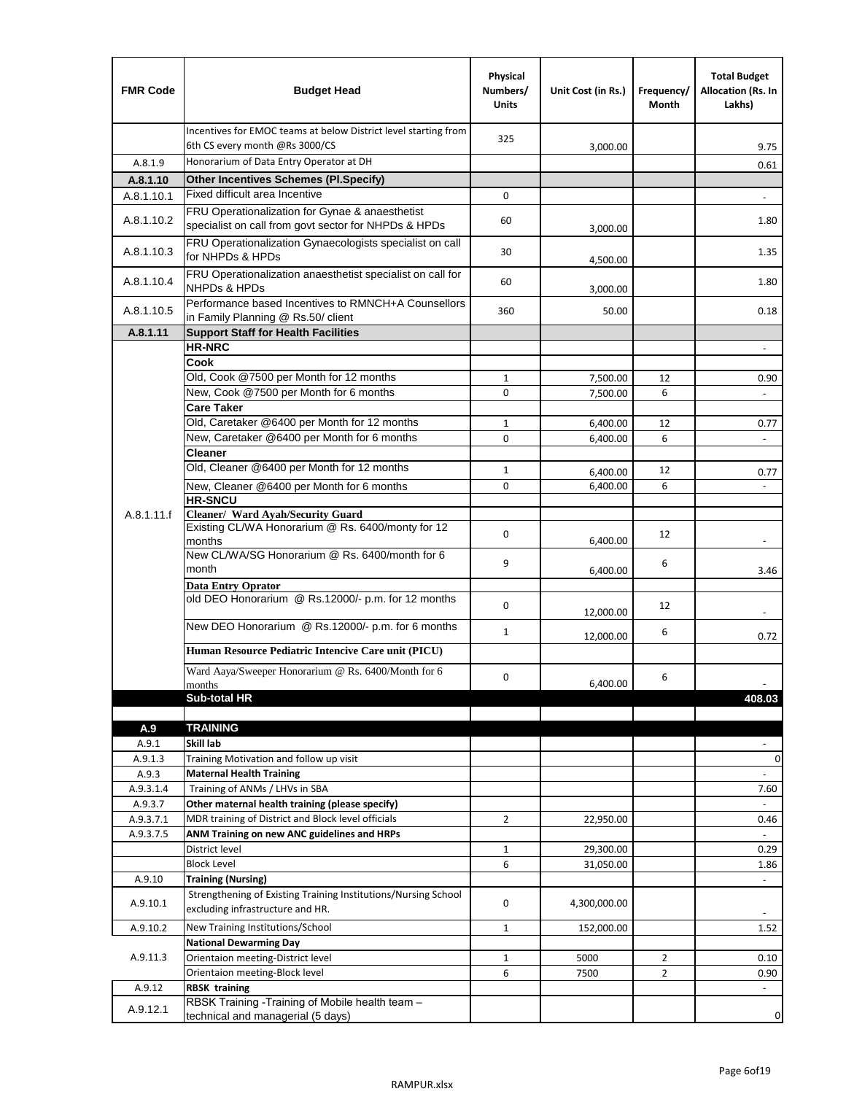| <b>FMR Code</b>      | <b>Budget Head</b>                                                                                    | Physical<br>Numbers/<br><b>Units</b> | Unit Cost (in Rs.)     | Frequency/<br>Month | <b>Total Budget</b><br>Allocation (Rs. In<br>Lakhs) |
|----------------------|-------------------------------------------------------------------------------------------------------|--------------------------------------|------------------------|---------------------|-----------------------------------------------------|
|                      | Incentives for EMOC teams at below District level starting from<br>6th CS every month @Rs 3000/CS     | 325                                  | 3,000.00               |                     | 9.75                                                |
| A.8.1.9              | Honorarium of Data Entry Operator at DH                                                               |                                      |                        |                     | 0.61                                                |
| A.8.1.10             | <b>Other Incentives Schemes (Pl.Specify)</b>                                                          |                                      |                        |                     |                                                     |
| A.8.1.10.1           | Fixed difficult area Incentive                                                                        | 0                                    |                        |                     |                                                     |
|                      | FRU Operationalization for Gynae & anaesthetist                                                       |                                      |                        |                     |                                                     |
| A.8.1.10.2           | specialist on call from govt sector for NHPDs & HPDs                                                  | 60                                   | 3,000.00               |                     | 1.80                                                |
| A.8.1.10.3           | FRU Operationalization Gynaecologists specialist on call<br>for NHPDs & HPDs                          | 30                                   | 4,500.00               |                     | 1.35                                                |
| A.8.1.10.4           | FRU Operationalization anaesthetist specialist on call for<br>NHPDs & HPDs                            | 60                                   | 3,000.00               |                     | 1.80                                                |
| A.8.1.10.5           | Performance based Incentives to RMNCH+A Counsellors<br>in Family Planning @ Rs.50/ client             | 360                                  | 50.00                  |                     | 0.18                                                |
| A.8.1.11             | <b>Support Staff for Health Facilities</b>                                                            |                                      |                        |                     |                                                     |
|                      | <b>HR-NRC</b>                                                                                         |                                      |                        |                     | $\overline{\phantom{m}}$                            |
|                      | Cook                                                                                                  |                                      |                        |                     |                                                     |
|                      | Old, Cook @7500 per Month for 12 months                                                               | 1                                    | 7,500.00               | 12                  | 0.90                                                |
|                      | New, Cook @7500 per Month for 6 months                                                                | 0                                    | 7,500.00               | 6                   | $\overline{\phantom{a}}$                            |
|                      | <b>Care Taker</b>                                                                                     |                                      |                        |                     |                                                     |
|                      | Old, Caretaker @6400 per Month for 12 months                                                          | $\mathbf{1}$                         | 6,400.00               | 12                  | 0.77                                                |
|                      | New, Caretaker @6400 per Month for 6 months                                                           | $\Omega$                             | 6,400.00               | 6                   |                                                     |
|                      | <b>Cleaner</b>                                                                                        |                                      |                        |                     |                                                     |
|                      | Old, Cleaner @6400 per Month for 12 months                                                            | 1                                    | 6,400.00               | 12                  | 0.77                                                |
|                      | New, Cleaner @6400 per Month for 6 months                                                             | 0                                    | 6,400.00               | 6                   |                                                     |
|                      | <b>HR-SNCU</b>                                                                                        |                                      |                        |                     |                                                     |
| A.8.1.11.f           | Cleaner/ Ward Ayah/Security Guard                                                                     |                                      |                        |                     |                                                     |
|                      | Existing CL/WA Honorarium @ Rs. 6400/monty for 12<br>months                                           | 0                                    | 6,400.00               | 12                  |                                                     |
|                      | New CL/WA/SG Honorarium @ Rs. 6400/month for 6<br>month                                               | 9                                    | 6,400.00               | 6                   | 3.46                                                |
|                      | <b>Data Entry Oprator</b>                                                                             |                                      |                        |                     |                                                     |
|                      | old DEO Honorarium @ Rs.12000/- p.m. for 12 months                                                    | $\mathbf 0$                          | 12,000.00              | 12                  |                                                     |
|                      | New DEO Honorarium @ Rs.12000/- p.m. for 6 months                                                     | $\mathbf{1}$                         |                        | 6                   | 0.72                                                |
|                      | Human Resource Pediatric Intencive Care unit (PICU)                                                   |                                      | 12,000.00              |                     |                                                     |
|                      | Ward Aaya/Sweeper Honorarium @ Rs. 6400/Month for 6                                                   | $\Omega$                             |                        | 6                   |                                                     |
|                      | months                                                                                                |                                      | 6,400.00               |                     | $\overline{\phantom{a}}$                            |
|                      | Sub-total HR                                                                                          |                                      |                        |                     | 408.03                                              |
|                      |                                                                                                       |                                      |                        |                     |                                                     |
| A.9                  | <b>TRAINING</b>                                                                                       |                                      |                        |                     |                                                     |
| A.9.1                | Skill lab                                                                                             |                                      |                        |                     |                                                     |
| A.9.1.3              | Training Motivation and follow up visit                                                               |                                      |                        |                     | 0                                                   |
| A.9.3                | <b>Maternal Health Training</b>                                                                       |                                      |                        |                     | $\overline{\phantom{a}}$                            |
| A.9.3.1.4<br>A.9.3.7 | Training of ANMs / LHVs in SBA                                                                        |                                      |                        |                     | 7.60                                                |
| A.9.3.7.1            | Other maternal health training (please specify)<br>MDR training of District and Block level officials | $\overline{2}$                       |                        |                     |                                                     |
| A.9.3.7.5            | ANM Training on new ANC guidelines and HRPs                                                           |                                      | 22,950.00              |                     | 0.46<br>÷.                                          |
|                      | District level                                                                                        | $\mathbf{1}$                         |                        |                     | 0.29                                                |
|                      | <b>Block Level</b>                                                                                    | 6                                    | 29,300.00<br>31,050.00 |                     | 1.86                                                |
| A.9.10               |                                                                                                       |                                      |                        |                     | $\overline{\phantom{a}}$                            |
| A.9.10.1             | <b>Training (Nursing)</b><br>Strengthening of Existing Training Institutions/Nursing School           | 0                                    | 4,300,000.00           |                     |                                                     |
|                      | excluding infrastructure and HR.                                                                      |                                      |                        |                     |                                                     |
| A.9.10.2             | New Training Institutions/School                                                                      | 1                                    | 152,000.00             |                     | 1.52                                                |
|                      | <b>National Dewarming Day</b>                                                                         |                                      |                        |                     |                                                     |
| A.9.11.3             | Orientaion meeting-District level                                                                     | $\mathbf 1$                          | 5000                   | $\overline{2}$      | 0.10                                                |
|                      | Orientaion meeting-Block level                                                                        | 6                                    | 7500                   | $\overline{2}$      | 0.90                                                |
| A.9.12               | <b>RBSK training</b>                                                                                  |                                      |                        |                     | $\overline{\phantom{a}}$                            |
| A.9.12.1             | RBSK Training -Training of Mobile health team -<br>technical and managerial (5 days)                  |                                      |                        |                     | 0                                                   |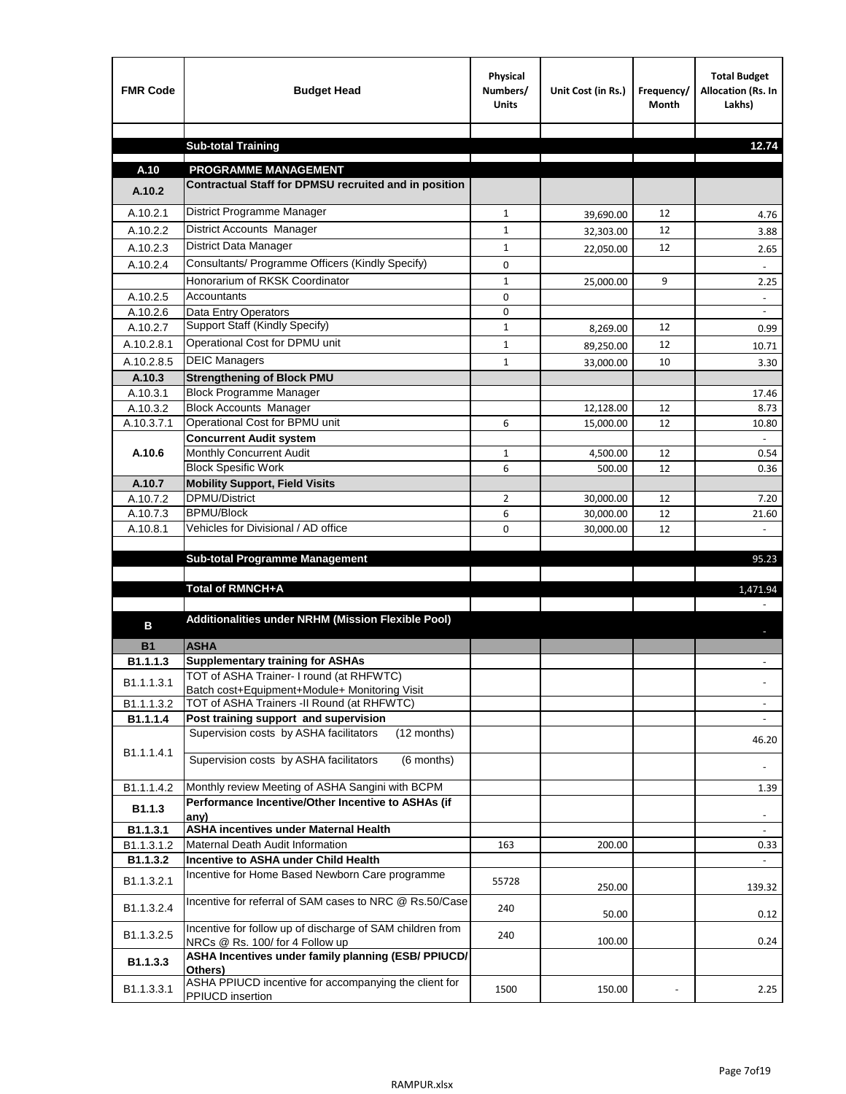| <b>FMR Code</b>       | <b>Budget Head</b>                                                                           | Physical<br>Numbers/<br><b>Units</b> | Unit Cost (in Rs.) | Frequency/<br><b>Month</b> | <b>Total Budget</b><br>Allocation (Rs. In<br>Lakhs) |
|-----------------------|----------------------------------------------------------------------------------------------|--------------------------------------|--------------------|----------------------------|-----------------------------------------------------|
|                       | <b>Sub-total Training</b>                                                                    |                                      |                    |                            | 12.74                                               |
|                       |                                                                                              |                                      |                    |                            |                                                     |
| A.10                  | <b>PROGRAMME MANAGEMENT</b>                                                                  |                                      |                    |                            |                                                     |
| A.10.2                | Contractual Staff for DPMSU recruited and in position                                        |                                      |                    |                            |                                                     |
| A.10.2.1              | District Programme Manager                                                                   | $\mathbf{1}$                         | 39,690.00          | 12                         | 4.76                                                |
| A.10.2.2              | District Accounts Manager                                                                    | 1                                    | 32,303.00          | 12                         | 3.88                                                |
| A.10.2.3              | District Data Manager                                                                        | $\mathbf{1}$                         | 22,050.00          | 12                         | 2.65                                                |
| A.10.2.4              | Consultants/ Programme Officers (Kindly Specify)                                             | $\mathbf 0$                          |                    |                            |                                                     |
|                       | Honorarium of RKSK Coordinator                                                               | $\mathbf{1}$                         | 25,000.00          | 9                          | 2.25                                                |
| A.10.2.5              | Accountants                                                                                  | 0                                    |                    |                            |                                                     |
| A.10.2.6              | Data Entry Operators                                                                         | 0                                    |                    |                            | $\overline{\phantom{a}}$                            |
| A.10.2.7              | Support Staff (Kindly Specify)                                                               | $\mathbf{1}$                         | 8,269.00           | 12                         | 0.99                                                |
| A.10.2.8.1            | Operational Cost for DPMU unit                                                               | $\mathbf{1}$                         | 89,250.00          | 12                         | 10.71                                               |
| A.10.2.8.5            | <b>DEIC Managers</b>                                                                         | $\mathbf{1}$                         | 33,000.00          | 10                         | 3.30                                                |
| A.10.3                | <b>Strengthening of Block PMU</b>                                                            |                                      |                    |                            |                                                     |
| A.10.3.1              | <b>Block Programme Manager</b>                                                               |                                      |                    |                            | 17.46                                               |
| A.10.3.2              | <b>Block Accounts Manager</b>                                                                |                                      | 12,128.00          | 12                         | 8.73                                                |
| A.10.3.7.1            | Operational Cost for BPMU unit<br><b>Concurrent Audit system</b>                             | 6                                    | 15,000.00          | 12                         | 10.80                                               |
| A.10.6                | Monthly Concurrent Audit                                                                     | $\mathbf{1}$                         | 4,500.00           | 12                         | 0.54                                                |
|                       | <b>Block Spesific Work</b>                                                                   | 6                                    | 500.00             | 12                         | 0.36                                                |
| A.10.7                | <b>Mobility Support, Field Visits</b>                                                        |                                      |                    |                            |                                                     |
| A.10.7.2              | DPMU/District                                                                                | $\overline{2}$                       | 30,000.00          | 12                         | 7.20                                                |
| A.10.7.3              | <b>BPMU/Block</b>                                                                            | 6                                    | 30,000.00          | 12                         | 21.60                                               |
| A.10.8.1              | Vehicles for Divisional / AD office                                                          | 0                                    | 30,000.00          | 12                         |                                                     |
|                       |                                                                                              |                                      |                    |                            |                                                     |
|                       | <b>Sub-total Programme Management</b>                                                        |                                      |                    |                            | 95.23                                               |
|                       | Total of RMNCH+A                                                                             |                                      |                    |                            | 1,471.94                                            |
|                       |                                                                                              |                                      |                    |                            |                                                     |
| в                     | Additionalities under NRHM (Mission Flexible Pool)                                           |                                      |                    |                            |                                                     |
|                       |                                                                                              |                                      |                    |                            |                                                     |
| <b>B1</b><br>B1.1.1.3 | <b>ASHA</b><br><b>Supplementary training for ASHAs</b>                                       |                                      |                    |                            |                                                     |
|                       | TOT of ASHA Trainer- I round (at RHFWTC)                                                     |                                      |                    |                            |                                                     |
| B1.1.1.3.1            | Batch cost+Equipment+Module+ Monitoring Visit                                                |                                      |                    |                            |                                                     |
| B1.1.1.3.2            | TOT of ASHA Trainers -II Round (at RHFWTC)                                                   |                                      |                    |                            |                                                     |
| B1.1.1.4              | Post training support and supervision                                                        |                                      |                    |                            | $\sim$                                              |
|                       | Supervision costs by ASHA facilitators<br>(12 months)                                        |                                      |                    |                            | 46.20                                               |
| B1.1.1.4.1            | Supervision costs by ASHA facilitators<br>(6 months)                                         |                                      |                    |                            |                                                     |
|                       |                                                                                              |                                      |                    |                            |                                                     |
| B1.1.1.4.2            | Monthly review Meeting of ASHA Sangini with BCPM                                             |                                      |                    |                            | 1.39                                                |
| B <sub>1.1.3</sub>    | Performance Incentive/Other Incentive to ASHAs (if                                           |                                      |                    |                            |                                                     |
| B1.1.3.1              | any)<br><b>ASHA incentives under Maternal Health</b>                                         |                                      |                    |                            |                                                     |
| B1.1.3.1.2            | Maternal Death Audit Information                                                             | 163                                  | 200.00             |                            | 0.33                                                |
| B1.1.3.2              | Incentive to ASHA under Child Health                                                         |                                      |                    |                            | ÷.                                                  |
| B1.1.3.2.1            | Incentive for Home Based Newborn Care programme                                              | 55728                                | 250.00             |                            | 139.32                                              |
| B1.1.3.2.4            | Incentive for referral of SAM cases to NRC @ Rs.50/Case                                      | 240                                  | 50.00              |                            | 0.12                                                |
| B1.1.3.2.5            | Incentive for follow up of discharge of SAM children from<br>NRCs @ Rs. 100/ for 4 Follow up | 240                                  | 100.00             |                            | 0.24                                                |
| B1.1.3.3              | ASHA Incentives under family planning (ESB/ PPIUCD/<br>Others)                               |                                      |                    |                            |                                                     |
| B1.1.3.3.1            | ASHA PPIUCD incentive for accompanying the client for<br>PPIUCD insertion                    | 1500                                 | 150.00             |                            | 2.25                                                |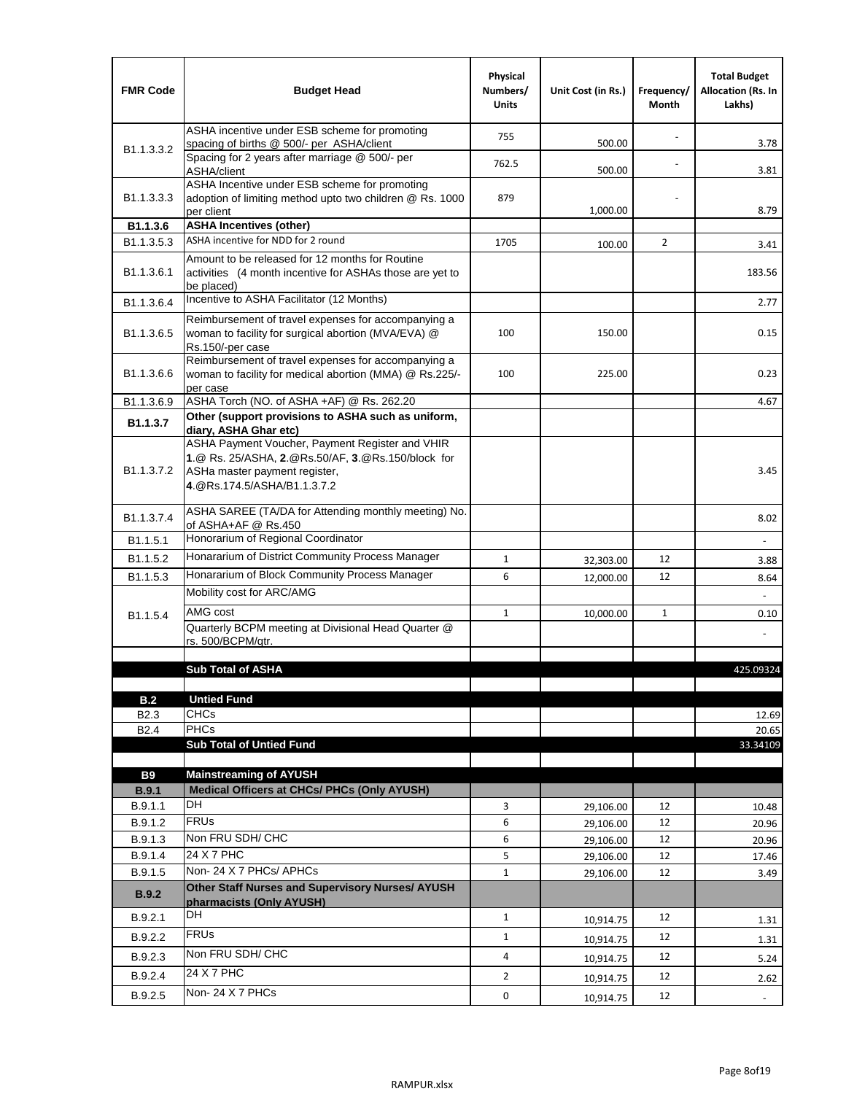| <b>FMR Code</b>            | <b>Budget Head</b>                                                                                                                                                                             | Physical<br>Numbers/<br><b>Units</b> | Unit Cost (in Rs.) | Frequency/<br>Month | <b>Total Budget</b><br><b>Allocation (Rs. In</b><br>Lakhs) |
|----------------------------|------------------------------------------------------------------------------------------------------------------------------------------------------------------------------------------------|--------------------------------------|--------------------|---------------------|------------------------------------------------------------|
|                            | ASHA incentive under ESB scheme for promoting<br>spacing of births @ 500/- per ASHA/client                                                                                                     | 755                                  | 500.00             |                     | 3.78                                                       |
| B <sub>1.1</sub> , 3, 3, 2 | Spacing for 2 years after marriage @ 500/- per<br>ASHA/client                                                                                                                                  | 762.5                                | 500.00             |                     | 3.81                                                       |
| B1.1.3.3.3                 | ASHA Incentive under ESB scheme for promoting<br>adoption of limiting method upto two children @ Rs. 1000<br>per client                                                                        | 879                                  | 1,000.00           |                     | 8.79                                                       |
| B1.1.3.6                   | <b>ASHA Incentives (other)</b>                                                                                                                                                                 |                                      |                    |                     |                                                            |
| B <sub>1.1</sub> , 3, 5, 3 | ASHA incentive for NDD for 2 round                                                                                                                                                             | 1705                                 | 100.00             | $\overline{2}$      | 3.41                                                       |
| B <sub>1.1</sub> .3.6.1    | Amount to be released for 12 months for Routine<br>activities (4 month incentive for ASHAs those are yet to<br>be placed)                                                                      |                                      |                    |                     | 183.56                                                     |
| B1.1.3.6.4                 | Incentive to ASHA Facilitator (12 Months)                                                                                                                                                      |                                      |                    |                     | 2.77                                                       |
| B <sub>1.1</sub> .3.6.5    | Reimbursement of travel expenses for accompanying a<br>woman to facility for surgical abortion (MVA/EVA) @<br>Rs.150/-per case                                                                 | 100                                  | 150.00             |                     | 0.15                                                       |
| B <sub>1.1</sub> .3.6.6    | Reimbursement of travel expenses for accompanying a<br>woman to facility for medical abortion (MMA) @ Rs.225/-<br>per case                                                                     | 100                                  | 225.00             |                     | 0.23                                                       |
| B1.1.3.6.9                 | ASHA Torch (NO. of ASHA +AF) @ Rs. 262.20                                                                                                                                                      |                                      |                    |                     | 4.67                                                       |
| B1.1.3.7                   | Other (support provisions to ASHA such as uniform,                                                                                                                                             |                                      |                    |                     |                                                            |
| B <sub>1.1</sub> .3.7.2    | diary, ASHA Ghar etc)<br>ASHA Payment Voucher, Payment Register and VHIR<br>1.@ Rs. 25/ASHA, 2.@Rs.50/AF, 3.@Rs.150/block for<br>ASHa master payment register,<br>4. @Rs.174.5/ASHA/B1.1.3.7.2 |                                      |                    |                     | 3.45                                                       |
| B <sub>1.1</sub> , 3.7.4   | ASHA SAREE (TA/DA for Attending monthly meeting) No.<br>of ASHA+AF @ Rs.450                                                                                                                    |                                      |                    |                     | 8.02                                                       |
| B <sub>1.1</sub> .5.1      | Honorarium of Regional Coordinator                                                                                                                                                             |                                      |                    |                     |                                                            |
| B <sub>1.1.5.2</sub>       | Honararium of District Community Process Manager                                                                                                                                               | $\mathbf{1}$                         | 32,303.00          | 12                  | 3.88                                                       |
| B1.1.5.3                   | Honararium of Block Community Process Manager                                                                                                                                                  | 6                                    | 12,000.00          | 12                  | 8.64                                                       |
|                            | Mobility cost for ARC/AMG                                                                                                                                                                      |                                      |                    |                     |                                                            |
| B <sub>1.1.5.4</sub>       | AMG cost                                                                                                                                                                                       | $\mathbf{1}$                         | 10,000.00          | $\mathbf{1}$        | 0.10                                                       |
|                            | Quarterly BCPM meeting at Divisional Head Quarter @                                                                                                                                            |                                      |                    |                     |                                                            |
|                            | rs. 500/BCPM/qtr.                                                                                                                                                                              |                                      |                    |                     |                                                            |
|                            | <b>Sub Total of ASHA</b>                                                                                                                                                                       |                                      |                    |                     | 425.09324                                                  |
|                            |                                                                                                                                                                                                |                                      |                    |                     |                                                            |
| B.2                        | <b>Untied Fund</b>                                                                                                                                                                             |                                      |                    |                     |                                                            |
| B <sub>2.3</sub>           | <b>CHCs</b>                                                                                                                                                                                    |                                      |                    |                     | 12.69                                                      |
| B <sub>2.4</sub>           | PHCs                                                                                                                                                                                           |                                      |                    |                     | 20.65                                                      |
|                            | <b>Sub Total of Untied Fund</b>                                                                                                                                                                |                                      |                    |                     | 33.34109                                                   |
| <b>B9</b>                  | <b>Mainstreaming of AYUSH</b>                                                                                                                                                                  |                                      |                    |                     |                                                            |
| B.9.1                      | Medical Officers at CHCs/ PHCs (Only AYUSH)                                                                                                                                                    |                                      |                    |                     |                                                            |
| B.9.1.1                    | <b>DH</b>                                                                                                                                                                                      | 3                                    | 29,106.00          | 12                  | 10.48                                                      |
| B.9.1.2                    | <b>FRUs</b>                                                                                                                                                                                    | 6                                    | 29,106.00          | 12                  | 20.96                                                      |
| B.9.1.3                    | Non FRU SDH/ CHC                                                                                                                                                                               | 6                                    | 29,106.00          | 12                  | 20.96                                                      |
| B.9.1.4                    | 24 X 7 PHC                                                                                                                                                                                     | 5                                    | 29,106.00          | 12                  | 17.46                                                      |
| B.9.1.5                    | Non-24 X 7 PHCs/ APHCs                                                                                                                                                                         | $\mathbf{1}$                         | 29,106.00          | 12                  | 3.49                                                       |
| <b>B.9.2</b>               | Other Staff Nurses and Supervisory Nurses/ AYUSH<br>pharmacists (Only AYUSH)                                                                                                                   |                                      |                    |                     |                                                            |
| B.9.2.1                    | DH                                                                                                                                                                                             | $\mathbf{1}$                         | 10,914.75          | 12                  | 1.31                                                       |
| B.9.2.2                    | <b>FRUs</b>                                                                                                                                                                                    | $\mathbf{1}$                         | 10,914.75          | 12                  | 1.31                                                       |
| B.9.2.3                    | Non FRU SDH/ CHC                                                                                                                                                                               | 4                                    | 10,914.75          | 12                  | 5.24                                                       |
| B.9.2.4                    | 24 X 7 PHC                                                                                                                                                                                     | $\overline{2}$                       |                    | 12                  |                                                            |
|                            | Non-24 X 7 PHCs                                                                                                                                                                                | 0                                    | 10,914.75          |                     | 2.62                                                       |
| B.9.2.5                    |                                                                                                                                                                                                |                                      | 10,914.75          | 12                  | $\overline{\phantom{a}}$                                   |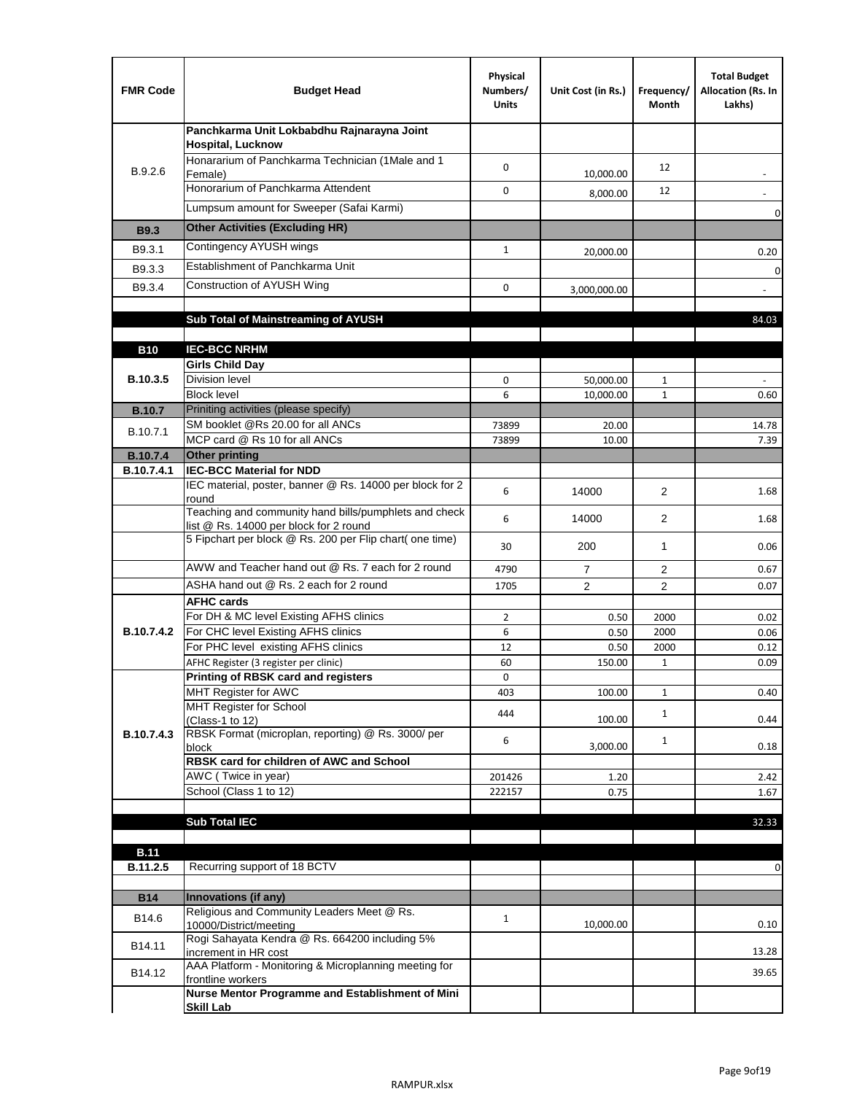| <b>FMR Code</b>               | <b>Budget Head</b>                                                                              | Physical<br>Numbers/<br><b>Units</b> | Unit Cost (in Rs.) | Frequency/<br>Month  | <b>Total Budget</b><br>Allocation (Rs. In<br>Lakhs) |
|-------------------------------|-------------------------------------------------------------------------------------------------|--------------------------------------|--------------------|----------------------|-----------------------------------------------------|
|                               | Panchkarma Unit Lokbabdhu Rajnarayna Joint<br><b>Hospital, Lucknow</b>                          |                                      |                    |                      |                                                     |
| B.9.2.6                       | Honararium of Panchkarma Technician (1Male and 1<br>Female)                                     | 0                                    | 10,000.00          | 12                   |                                                     |
|                               | Honorarium of Panchkarma Attendent                                                              | 0                                    | 8,000.00           | 12                   |                                                     |
|                               | Lumpsum amount for Sweeper (Safai Karmi)                                                        |                                      |                    |                      | 0                                                   |
| <b>B9.3</b>                   | <b>Other Activities (Excluding HR)</b>                                                          |                                      |                    |                      |                                                     |
| B9.3.1                        | Contingency AYUSH wings                                                                         | $\mathbf{1}$                         | 20,000.00          |                      | 0.20                                                |
| B9.3.3                        | Establishment of Panchkarma Unit                                                                |                                      |                    |                      | $\mathbf 0$                                         |
| B9.3.4                        | Construction of AYUSH Wing                                                                      | 0                                    | 3,000,000.00       |                      |                                                     |
|                               |                                                                                                 |                                      |                    |                      |                                                     |
|                               | Sub Total of Mainstreaming of AYUSH                                                             |                                      |                    |                      | 84.03                                               |
|                               |                                                                                                 |                                      |                    |                      |                                                     |
| <b>B10</b>                    | <b>IEC-BCC NRHM</b>                                                                             |                                      |                    |                      |                                                     |
| B.10.3.5                      | <b>Girls Child Day</b><br><b>Division level</b>                                                 | 0                                    | 50,000.00          | 1                    |                                                     |
|                               | <b>Block level</b>                                                                              | 6                                    | 10,000.00          | $\mathbf{1}$         | 0.60                                                |
| <b>B.10.7</b>                 | Priniting activities (please specify)                                                           |                                      |                    |                      |                                                     |
| B.10.7.1                      | SM booklet @Rs 20.00 for all ANCs                                                               | 73899                                | 20.00              |                      | 14.78                                               |
|                               | MCP card @ Rs 10 for all ANCs                                                                   | 73899                                | 10.00              |                      | 7.39                                                |
| <b>B.10.7.4</b><br>B.10.7.4.1 | <b>Other printing</b><br><b>IEC-BCC Material for NDD</b>                                        |                                      |                    |                      |                                                     |
|                               | IEC material, poster, banner @ Rs. 14000 per block for 2<br>round                               | 6                                    | 14000              | $\overline{2}$       | 1.68                                                |
|                               | Teaching and community hand bills/pumphlets and check<br>list @ Rs. 14000 per block for 2 round | 6                                    | 14000              | 2                    | 1.68                                                |
|                               | 5 Fipchart per block @ Rs. 200 per Flip chart( one time)                                        | 30                                   | 200                | 1                    | 0.06                                                |
|                               | AWW and Teacher hand out @ Rs. 7 each for 2 round                                               | 4790                                 | $\overline{7}$     | 2                    | 0.67                                                |
|                               | ASHA hand out @ Rs. 2 each for 2 round                                                          | 1705                                 | $\overline{2}$     | $\overline{2}$       | 0.07                                                |
|                               | <b>AFHC cards</b>                                                                               |                                      |                    |                      |                                                     |
|                               | For DH & MC level Existing AFHS clinics                                                         | $\overline{2}$                       | 0.50               | 2000                 | 0.02                                                |
| <b>B.10.7.4.2</b>             | For CHC level Existing AFHS clinics<br>For PHC level existing AFHS clinics                      | 6                                    | 0.50               | 2000                 | 0.06                                                |
|                               | AFHC Register (3 register per clinic)                                                           | 12<br>60                             | 0.50<br>150.00     | 2000<br>$\mathbf{1}$ | 0.12<br>0.09                                        |
|                               | Printing of RBSK card and registers                                                             | 0                                    |                    |                      |                                                     |
|                               | MHT Register for AWC                                                                            | 403                                  | 100.00             | $\mathbf{1}$         | 0.40                                                |
|                               | MHT Register for School<br>(Class-1 to 12)                                                      | 444                                  | 100.00             | $\mathbf{1}$         | 0.44                                                |
| B.10.7.4.3                    | RBSK Format (microplan, reporting) @ Rs. 3000/ per                                              | 6                                    |                    | $\mathbf{1}$         |                                                     |
|                               | block                                                                                           |                                      | 3,000.00           |                      | 0.18                                                |
|                               | RBSK card for children of AWC and School<br>AWC (Twice in year)                                 | 201426                               | 1.20               |                      | 2.42                                                |
|                               | School (Class 1 to 12)                                                                          | 222157                               | 0.75               |                      | 1.67                                                |
|                               |                                                                                                 |                                      |                    |                      |                                                     |
|                               | <b>Sub Total IEC</b>                                                                            |                                      |                    |                      | 32.33                                               |
|                               |                                                                                                 |                                      |                    |                      |                                                     |
| <b>B.11</b>                   | Recurring support of 18 BCTV                                                                    |                                      |                    |                      |                                                     |
| B.11.2.5                      |                                                                                                 |                                      |                    |                      | 0                                                   |
| <b>B14</b>                    | Innovations (if any)                                                                            |                                      |                    |                      |                                                     |
| B14.6                         | Religious and Community Leaders Meet @ Rs.<br>10000/District/meeting                            | $\mathbf{1}$                         | 10,000.00          |                      | 0.10                                                |
| B14.11                        | Rogi Sahayata Kendra @ Rs. 664200 including 5%<br>increment in HR cost                          |                                      |                    |                      | 13.28                                               |
| B14.12                        | AAA Platform - Monitoring & Microplanning meeting for<br>frontline workers                      |                                      |                    |                      | 39.65                                               |
|                               | Nurse Mentor Programme and Establishment of Mini                                                |                                      |                    |                      |                                                     |
|                               | <b>Skill Lab</b>                                                                                |                                      |                    |                      |                                                     |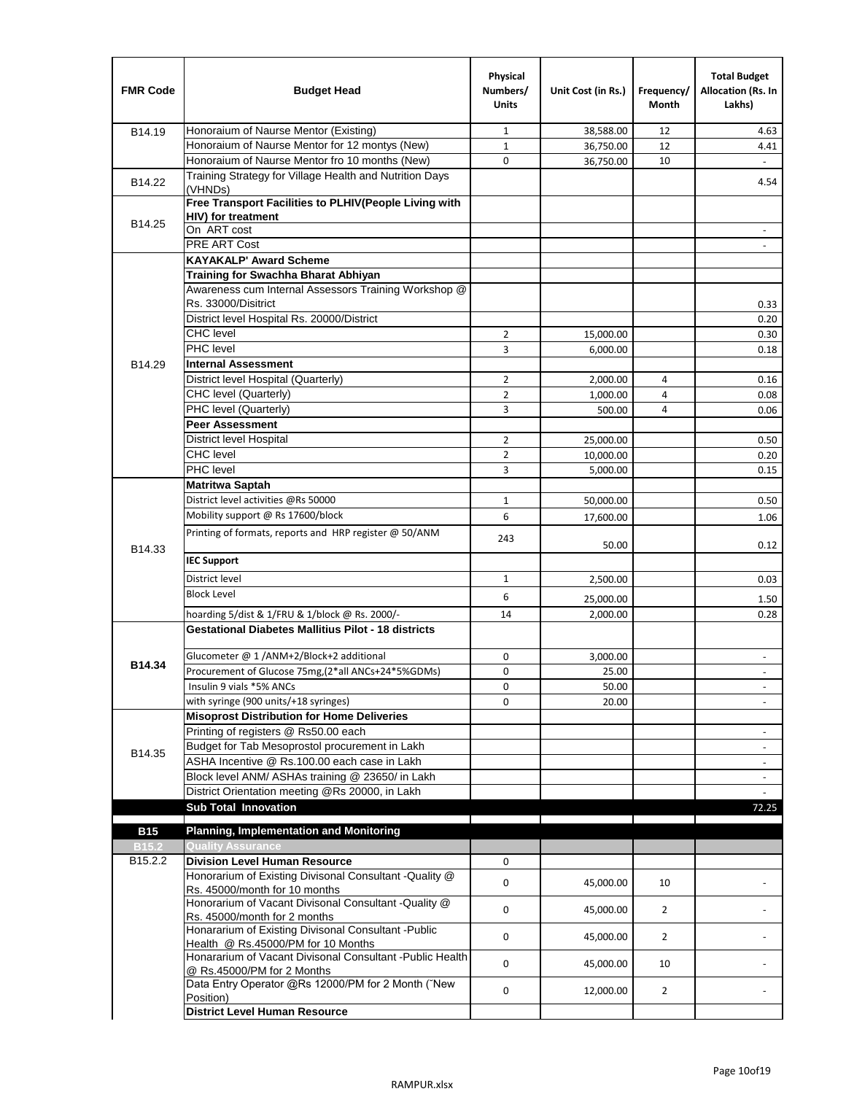| <b>FMR Code</b> | <b>Budget Head</b>                                                                              | Physical<br>Numbers/<br><b>Units</b> | Unit Cost (in Rs.) | Frequency/<br><b>Month</b> | <b>Total Budget</b><br>Allocation (Rs. In<br>Lakhs) |
|-----------------|-------------------------------------------------------------------------------------------------|--------------------------------------|--------------------|----------------------------|-----------------------------------------------------|
| B14.19          | Honoraium of Naurse Mentor (Existing)                                                           | $\mathbf{1}$                         | 38,588.00          | 12                         | 4.63                                                |
|                 | Honoraium of Naurse Mentor for 12 montys (New)                                                  | $\mathbf{1}$                         | 36,750.00          | 12                         | 4.41                                                |
|                 | Honoraium of Naurse Mentor fro 10 months (New)                                                  | 0                                    | 36,750.00          | 10                         | $\sim$                                              |
| B14.22          | Training Strategy for Village Health and Nutrition Days<br>(VHNDs)                              |                                      |                    |                            | 4.54                                                |
|                 | Free Transport Facilities to PLHIV(People Living with                                           |                                      |                    |                            |                                                     |
| B14.25          | <b>HIV)</b> for treatment                                                                       |                                      |                    |                            |                                                     |
|                 | On ART cost                                                                                     |                                      |                    |                            |                                                     |
|                 | PRE ART Cost                                                                                    |                                      |                    |                            |                                                     |
|                 | <b>KAYAKALP' Award Scheme</b>                                                                   |                                      |                    |                            |                                                     |
|                 | Training for Swachha Bharat Abhiyan                                                             |                                      |                    |                            |                                                     |
|                 | Awareness cum Internal Assessors Training Workshop @<br>Rs. 33000/Disitrict                     |                                      |                    |                            |                                                     |
|                 | District level Hospital Rs. 20000/District                                                      |                                      |                    |                            | 0.33<br>0.20                                        |
|                 | <b>CHC</b> level                                                                                | $\overline{2}$                       | 15,000.00          |                            | 0.30                                                |
|                 | <b>PHC</b> level                                                                                | 3                                    | 6,000.00           |                            | 0.18                                                |
| B14.29          | <b>Internal Assessment</b>                                                                      |                                      |                    |                            |                                                     |
|                 | District level Hospital (Quarterly)                                                             | $\overline{2}$                       | 2,000.00           | 4                          | 0.16                                                |
|                 | CHC level (Quarterly)                                                                           | $\overline{2}$                       | 1,000.00           | 4                          | 0.08                                                |
|                 | PHC level (Quarterly)                                                                           | 3                                    | 500.00             | 4                          | 0.06                                                |
|                 | <b>Peer Assessment</b>                                                                          |                                      |                    |                            |                                                     |
|                 | <b>District level Hospital</b>                                                                  | $\overline{2}$                       | 25,000.00          |                            | 0.50                                                |
|                 | <b>CHC</b> level                                                                                | $\overline{2}$                       | 10,000.00          |                            | 0.20                                                |
|                 | PHC level                                                                                       | 3                                    | 5,000.00           |                            | 0.15                                                |
|                 | Matritwa Saptah                                                                                 |                                      |                    |                            |                                                     |
|                 | District level activities @Rs 50000                                                             | $\mathbf{1}$                         | 50,000.00          |                            | 0.50                                                |
|                 | Mobility support @ Rs 17600/block                                                               | 6                                    |                    |                            |                                                     |
|                 | Printing of formats, reports and HRP register @ 50/ANM                                          |                                      | 17,600.00          |                            | 1.06                                                |
| B14.33          |                                                                                                 | 243                                  | 50.00              |                            | 0.12                                                |
|                 | <b>IEC Support</b>                                                                              |                                      |                    |                            |                                                     |
|                 | District level                                                                                  | $\mathbf{1}$                         | 2,500.00           |                            | 0.03                                                |
|                 | <b>Block Level</b>                                                                              | 6                                    | 25,000.00          |                            | 1.50                                                |
|                 | hoarding 5/dist & 1/FRU & 1/block @ Rs. 2000/-                                                  | 14                                   | 2,000.00           |                            | 0.28                                                |
|                 | <b>Gestational Diabetes Mallitius Pilot - 18 districts</b>                                      |                                      |                    |                            |                                                     |
|                 | Glucometer @ 1 /ANM+2/Block+2 additional                                                        | 0                                    | 3,000.00           |                            | $\sim$                                              |
| B14.34          | Procurement of Glucose 75mg, (2*all ANCs+24*5%GDMs)                                             | 0                                    | 25.00              |                            |                                                     |
|                 | Insulin 9 vials *5% ANCs                                                                        | 0                                    | 50.00              |                            | $\overline{\phantom{a}}$                            |
|                 | with syringe (900 units/+18 syringes)                                                           | 0                                    | 20.00              |                            |                                                     |
|                 | <b>Misoprost Distribution for Home Deliveries</b>                                               |                                      |                    |                            |                                                     |
|                 | Printing of registers @ Rs50.00 each                                                            |                                      |                    |                            | $\overline{\phantom{a}}$                            |
|                 | Budget for Tab Mesoprostol procurement in Lakh                                                  |                                      |                    |                            | $\overline{\phantom{a}}$                            |
| B14.35          | ASHA Incentive @ Rs.100.00 each case in Lakh                                                    |                                      |                    |                            | $\overline{\phantom{a}}$                            |
|                 | Block level ANM/ ASHAs training @ 23650/ in Lakh                                                |                                      |                    |                            | $\overline{\phantom{a}}$                            |
|                 | District Orientation meeting @Rs 20000, in Lakh                                                 |                                      |                    |                            |                                                     |
|                 | <b>Sub Total Innovation</b>                                                                     |                                      |                    |                            | 72.25                                               |
| <b>B15</b>      | <b>Planning, Implementation and Monitoring</b>                                                  |                                      |                    |                            |                                                     |
| <b>B15.2</b>    | <b>Quality Assurance</b>                                                                        |                                      |                    |                            |                                                     |
| B15.2.2         | <b>Division Level Human Resource</b>                                                            | 0                                    |                    |                            |                                                     |
|                 | Honorarium of Existing Divisonal Consultant -Quality @<br>Rs. 45000/month for 10 months         | 0                                    | 45,000.00          | 10                         |                                                     |
|                 | Honorarium of Vacant Divisonal Consultant -Quality @<br>Rs. 45000/month for 2 months            | 0                                    | 45,000.00          | $\overline{2}$             |                                                     |
|                 | Honararium of Existing Divisonal Consultant - Public                                            | 0                                    | 45,000.00          | $\overline{2}$             |                                                     |
|                 | Health @ Rs.45000/PM for 10 Months<br>Honararium of Vacant Divisonal Consultant - Public Health | 0                                    | 45,000.00          | 10                         |                                                     |
|                 | @ Rs.45000/PM for 2 Months<br>Data Entry Operator @Rs 12000/PM for 2 Month ("New                | 0                                    | 12,000.00          | $\overline{2}$             |                                                     |
|                 | Position)<br><b>District Level Human Resource</b>                                               |                                      |                    |                            |                                                     |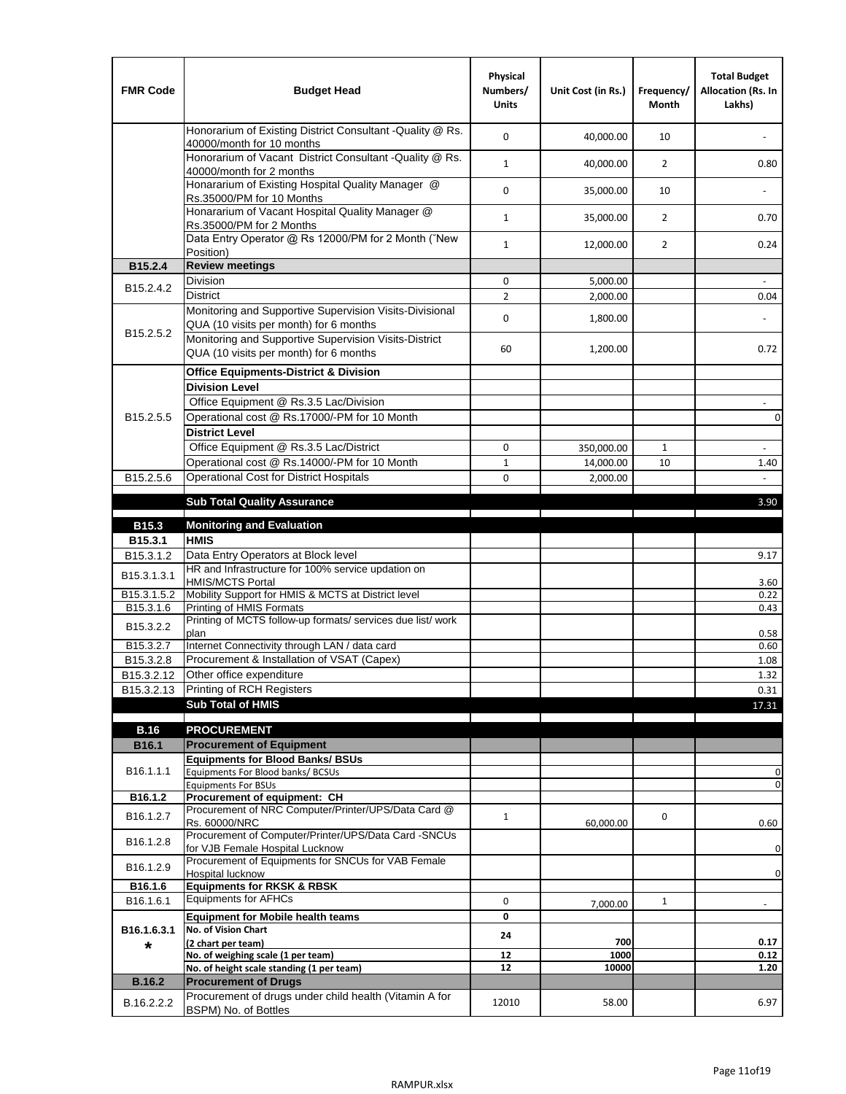| <b>FMR Code</b>         | <b>Budget Head</b>                                                                                | Physical<br>Numbers/<br><b>Units</b> | Unit Cost (in Rs.) | Frequency/<br><b>Month</b> | <b>Total Budget</b><br>Allocation (Rs. In<br>Lakhs) |
|-------------------------|---------------------------------------------------------------------------------------------------|--------------------------------------|--------------------|----------------------------|-----------------------------------------------------|
|                         | Honorarium of Existing District Consultant -Quality @ Rs.<br>40000/month for 10 months            | $\mathbf 0$                          | 40,000.00          | 10                         |                                                     |
|                         | Honorarium of Vacant District Consultant -Quality @ Rs.<br>40000/month for 2 months               | $\mathbf{1}$                         | 40,000.00          | $\overline{2}$             | 0.80                                                |
|                         | Honararium of Existing Hospital Quality Manager @<br>Rs.35000/PM for 10 Months                    | 0                                    | 35,000.00          | 10                         |                                                     |
|                         | Honararium of Vacant Hospital Quality Manager @<br>Rs.35000/PM for 2 Months                       | $\mathbf{1}$                         | 35,000.00          | $\overline{2}$             | 0.70                                                |
|                         | Data Entry Operator @ Rs 12000/PM for 2 Month ("New<br>Position)                                  | $\mathbf{1}$                         | 12,000.00          | $\overline{2}$             | 0.24                                                |
| B15.2.4                 | <b>Review meetings</b>                                                                            |                                      |                    |                            |                                                     |
| B <sub>15.2</sub> .4.2  | Division                                                                                          | 0                                    | 5,000.00           |                            |                                                     |
|                         | <b>District</b>                                                                                   | $\overline{2}$                       | 2,000.00           |                            | 0.04                                                |
|                         | Monitoring and Supportive Supervision Visits-Divisional<br>QUA (10 visits per month) for 6 months | $\mathbf 0$                          | 1,800.00           |                            |                                                     |
| B15.2.5.2               | Monitoring and Supportive Supervision Visits-District<br>QUA (10 visits per month) for 6 months   | 60                                   | 1,200.00           |                            | 0.72                                                |
|                         | <b>Office Equipments-District &amp; Division</b>                                                  |                                      |                    |                            |                                                     |
|                         | <b>Division Level</b>                                                                             |                                      |                    |                            |                                                     |
|                         | Office Equipment @ Rs.3.5 Lac/Division                                                            |                                      |                    |                            | $\sim$                                              |
| B15.2.5.5               | Operational cost @ Rs.17000/-PM for 10 Month                                                      |                                      |                    |                            | $\pmb{0}$                                           |
|                         | <b>District Level</b>                                                                             |                                      |                    |                            |                                                     |
|                         | Office Equipment @ Rs.3.5 Lac/District                                                            | 0                                    | 350,000.00         | $\mathbf{1}$               | $\blacksquare$                                      |
|                         | Operational cost @ Rs.14000/-PM for 10 Month                                                      | $1\,$                                | 14,000.00          | 10                         | 1.40                                                |
| B15.2.5.6               | <b>Operational Cost for District Hospitals</b>                                                    | 0                                    | 2,000.00           |                            | $\mathbf{r}$                                        |
|                         | <b>Sub Total Quality Assurance</b>                                                                |                                      |                    |                            | 3.90                                                |
|                         |                                                                                                   |                                      |                    |                            |                                                     |
| B15.3                   | <b>Monitoring and Evaluation</b><br><b>HMIS</b>                                                   |                                      |                    |                            |                                                     |
| B15.3.1<br>B15.3.1.2    | Data Entry Operators at Block level                                                               |                                      |                    |                            | 9.17                                                |
| B15.3.1.3.1             | HR and Infrastructure for 100% service updation on<br><b>HMIS/MCTS Portal</b>                     |                                      |                    |                            | 3.60                                                |
| B <sub>15.3.1.5.2</sub> | Mobility Support for HMIS & MCTS at District level                                                |                                      |                    |                            | 0.22                                                |
| B15.3.1.6               | Printing of HMIS Formats                                                                          |                                      |                    |                            | 0.43                                                |
| B15.3.2.2               | Printing of MCTS follow-up formats/ services due list/ work<br>plan                               |                                      |                    |                            | 0.58                                                |
| B15.3.2.7               | Internet Connectivity through LAN / data card                                                     |                                      |                    |                            | 0.60                                                |
| B15.3.2.8               | Procurement & Installation of VSAT (Capex)                                                        |                                      |                    |                            | 1.08                                                |
| B15.3.2.12              | Other office expenditure                                                                          |                                      |                    |                            | 1.32                                                |
| B15.3.2.13              | Printing of RCH Registers                                                                         |                                      |                    |                            | 0.31                                                |
|                         | <b>Sub Total of HMIS</b>                                                                          |                                      |                    |                            | 17.31                                               |
| <b>B.16</b>             | <b>PROCUREMENT</b>                                                                                |                                      |                    |                            |                                                     |
| B16.1                   | <b>Procurement of Equipment</b>                                                                   |                                      |                    |                            |                                                     |
|                         | <b>Equipments for Blood Banks/ BSUs</b>                                                           |                                      |                    |                            |                                                     |
| B16.1.1.1               | Equipments For Blood banks/ BCSUs                                                                 |                                      |                    |                            | 0                                                   |
|                         | <b>Equipments For BSUs</b>                                                                        |                                      |                    |                            | 0                                                   |
| B16.1.2                 | Procurement of equipment: CH<br>Procurement of NRC Computer/Printer/UPS/Data Card @               |                                      |                    |                            |                                                     |
| B16.1.2.7               | Rs. 60000/NRC                                                                                     | $\mathbf{1}$                         | 60,000.00          | 0                          | 0.60                                                |
| B16.1.2.8               | Procurement of Computer/Printer/UPS/Data Card -SNCUs                                              |                                      |                    |                            |                                                     |
|                         | for VJB Female Hospital Lucknow                                                                   |                                      |                    |                            | 0                                                   |
| B16.1.2.9               | Procurement of Equipments for SNCUs for VAB Female<br>Hospital lucknow                            |                                      |                    |                            | 0                                                   |
| B16.1.6                 | <b>Equipments for RKSK &amp; RBSK</b>                                                             |                                      |                    |                            |                                                     |
| B16.1.6.1               | <b>Equipments for AFHCs</b>                                                                       | 0                                    | 7,000.00           | $\mathbf{1}$               | ÷,                                                  |
|                         | <b>Equipment for Mobile health teams</b>                                                          | 0                                    |                    |                            |                                                     |
| B16.1.6.3.1             | No. of Vision Chart                                                                               | 24                                   |                    |                            |                                                     |
| *                       | (2 chart per team)<br>No. of weighing scale (1 per team)                                          | 12                                   | 700<br>1000        |                            | 0.17<br>0.12                                        |
|                         | No. of height scale standing (1 per team)                                                         | 12                                   | 10000              |                            | 1.20                                                |
| <b>B.16.2</b>           | <b>Procurement of Drugs</b>                                                                       |                                      |                    |                            |                                                     |
|                         | Procurement of drugs under child health (Vitamin A for                                            | 12010                                |                    |                            | 6.97                                                |
| B.16.2.2.2              | BSPM) No. of Bottles                                                                              |                                      | 58.00              |                            |                                                     |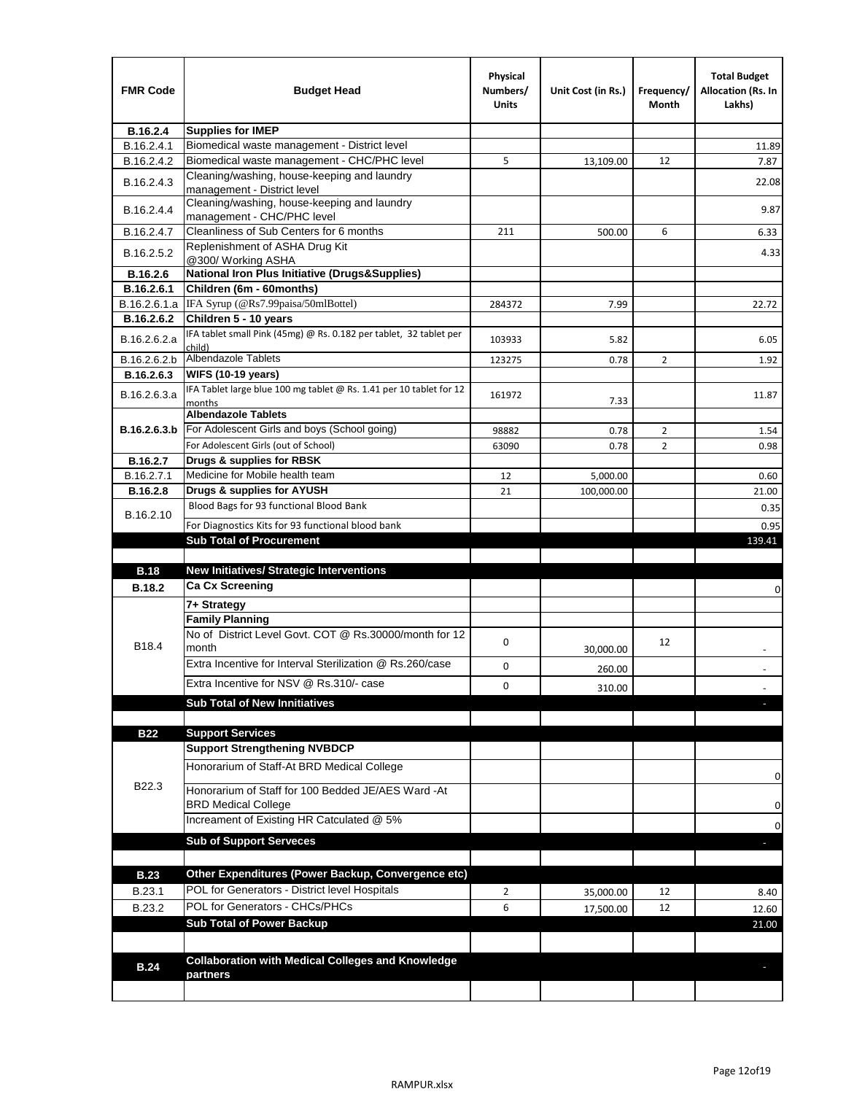| <b>FMR Code</b> | <b>Budget Head</b>                                                                | Physical<br>Numbers/<br>Units | Unit Cost (in Rs.) | Frequency/<br>Month | <b>Total Budget</b><br>Allocation (Rs. In<br>Lakhs) |
|-----------------|-----------------------------------------------------------------------------------|-------------------------------|--------------------|---------------------|-----------------------------------------------------|
| B.16.2.4        | <b>Supplies for IMEP</b>                                                          |                               |                    |                     |                                                     |
| B.16.2.4.1      | Biomedical waste management - District level                                      |                               |                    |                     | 11.89                                               |
| B.16.2.4.2      | Biomedical waste management - CHC/PHC level                                       | 5                             | 13,109.00          | 12                  | 7.87                                                |
| B.16.2.4.3      | Cleaning/washing, house-keeping and laundry<br>management - District level        |                               |                    |                     | 22.08                                               |
| B.16.2.4.4      | Cleaning/washing, house-keeping and laundry<br>management - CHC/PHC level         |                               |                    |                     | 9.87                                                |
| B.16.2.4.7      | Cleanliness of Sub Centers for 6 months                                           | 211                           | 500.00             | 6                   | 6.33                                                |
| B.16.2.5.2      | Replenishment of ASHA Drug Kit<br>@300/ Working ASHA                              |                               |                    |                     | 4.33                                                |
| B.16.2.6        | <b>National Iron Plus Initiative (Drugs&amp;Supplies)</b>                         |                               |                    |                     |                                                     |
| B.16.2.6.1      | Children (6m - 60months)                                                          |                               |                    |                     |                                                     |
| B.16.2.6.1.a    | IFA Syrup (@Rs7.99paisa/50mlBottel)                                               | 284372                        | 7.99               |                     | 22.72                                               |
| B.16.2.6.2      | Children 5 - 10 years                                                             |                               |                    |                     |                                                     |
| B.16.2.6.2.a    | IFA tablet small Pink (45mg) @ Rs. 0.182 per tablet, 32 tablet per<br>child)      | 103933                        | 5.82               |                     | 6.05                                                |
| B.16.2.6.2.b    | <b>Albendazole Tablets</b>                                                        | 123275                        | 0.78               | 2                   | 1.92                                                |
| B.16.2.6.3      | <b>WIFS (10-19 years)</b>                                                         |                               |                    |                     |                                                     |
| B.16.2.6.3.a    | IFA Tablet large blue 100 mg tablet @ Rs. 1.41 per 10 tablet for 12<br>months     | 161972                        | 7.33               |                     | 11.87                                               |
|                 | <b>Albendazole Tablets</b>                                                        |                               |                    |                     |                                                     |
| B.16.2.6.3.b    | For Adolescent Girls and boys (School going)                                      | 98882                         | 0.78               | $\overline{2}$      | 1.54                                                |
|                 | For Adolescent Girls (out of School)                                              | 63090                         | 0.78               | $\overline{2}$      | 0.98                                                |
| B.16.2.7        | Drugs & supplies for RBSK                                                         |                               |                    |                     |                                                     |
| B.16.2.7.1      | Medicine for Mobile health team                                                   | 12                            | 5,000.00           |                     | 0.60                                                |
| <b>B.16.2.8</b> | Drugs & supplies for AYUSH                                                        | 21                            | 100,000.00         |                     | 21.00                                               |
| B.16.2.10       | Blood Bags for 93 functional Blood Bank                                           |                               |                    |                     | 0.35                                                |
|                 | For Diagnostics Kits for 93 functional blood bank                                 |                               |                    |                     | 0.95                                                |
|                 | <b>Sub Total of Procurement</b>                                                   |                               |                    |                     | 139.41                                              |
|                 |                                                                                   |                               |                    |                     |                                                     |
| <b>B.18</b>     | <b>New Initiatives/ Strategic Interventions</b>                                   |                               |                    |                     |                                                     |
| <b>B.18.2</b>   | <b>Ca Cx Screening</b>                                                            |                               |                    |                     | 0                                                   |
|                 | 7+ Strategy                                                                       |                               |                    |                     |                                                     |
|                 | <b>Family Planning</b><br>No of District Level Govt, COT @ Rs.30000/month for 12  | 0                             |                    | 12                  |                                                     |
| B18.4           | month                                                                             |                               | 30,000.00          |                     |                                                     |
|                 | Extra Incentive for Interval Sterilization @ Rs.260/case                          | 0                             | 260.00             |                     |                                                     |
|                 | Extra Incentive for NSV @ Rs.310/- case                                           | 0                             | 310.00             |                     |                                                     |
|                 | <b>Sub Total of New Innitiatives</b>                                              |                               |                    |                     |                                                     |
|                 |                                                                                   |                               |                    |                     |                                                     |
| <b>B22</b>      | <b>Support Services</b>                                                           |                               |                    |                     |                                                     |
|                 | <b>Support Strengthening NVBDCP</b><br>Honorarium of Staff-At BRD Medical College |                               |                    |                     |                                                     |
| B22.3           | Honorarium of Staff for 100 Bedded JE/AES Ward -At                                |                               |                    |                     | 0                                                   |
|                 | <b>BRD Medical College</b>                                                        |                               |                    |                     | 0                                                   |
|                 | Increament of Existing HR Catculated @ 5%                                         |                               |                    |                     | 0                                                   |
|                 | <b>Sub of Support Serveces</b>                                                    |                               |                    |                     |                                                     |
|                 |                                                                                   |                               |                    |                     |                                                     |
| <b>B.23</b>     | Other Expenditures (Power Backup, Convergence etc)                                |                               |                    |                     |                                                     |
| B.23.1          | POL for Generators - District level Hospitals                                     | $\overline{2}$                | 35,000.00          | 12                  | 8.40                                                |
| B.23.2          | POL for Generators - CHCs/PHCs                                                    | 6                             | 17,500.00          | 12                  | 12.60                                               |
|                 | <b>Sub Total of Power Backup</b>                                                  |                               |                    |                     | 21.00                                               |
|                 |                                                                                   |                               |                    |                     |                                                     |
| <b>B.24</b>     | <b>Collaboration with Medical Colleges and Knowledge</b><br>partners              |                               |                    |                     |                                                     |
|                 |                                                                                   |                               |                    |                     |                                                     |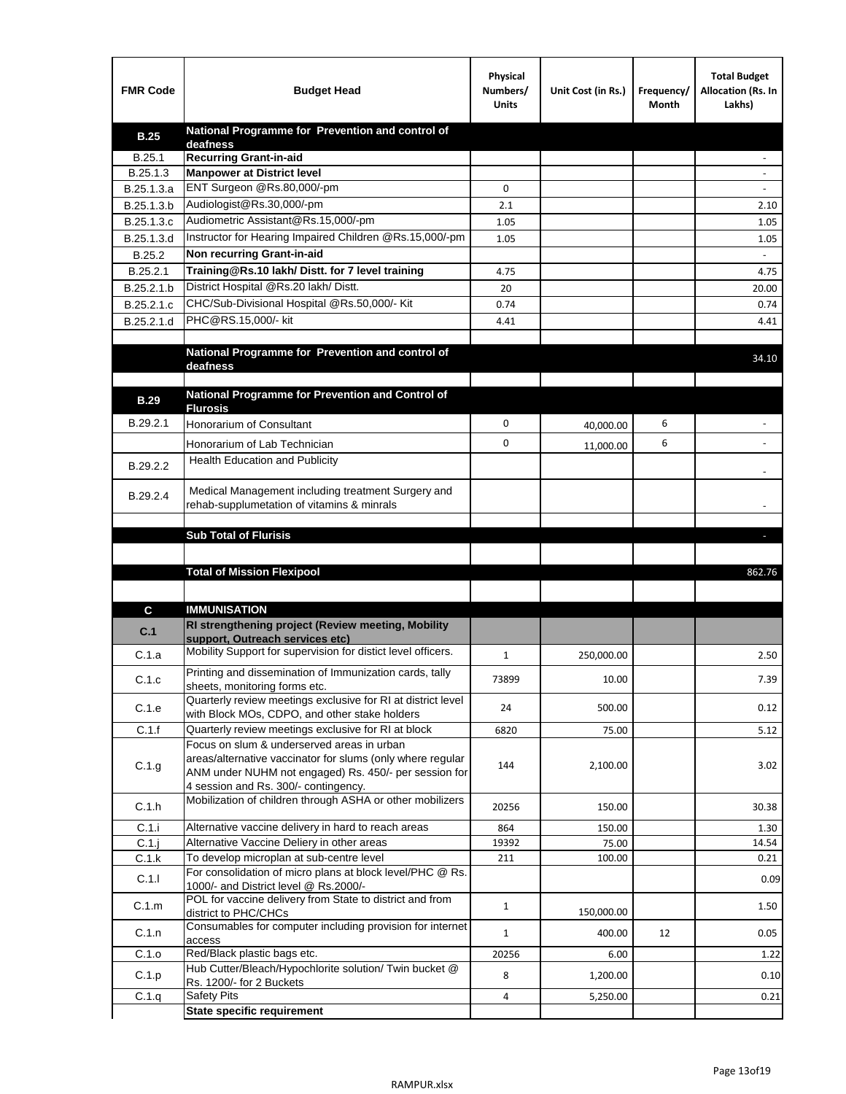| <b>FMR Code</b> | <b>Budget Head</b>                                                                                                                                             | Physical<br>Numbers/<br><b>Units</b> | Unit Cost (in Rs.) | Frequency/<br>Month | <b>Total Budget</b><br>Allocation (Rs. In<br>Lakhs) |
|-----------------|----------------------------------------------------------------------------------------------------------------------------------------------------------------|--------------------------------------|--------------------|---------------------|-----------------------------------------------------|
| <b>B.25</b>     | National Programme for Prevention and control of                                                                                                               |                                      |                    |                     |                                                     |
| B.25.1          | deafness<br><b>Recurring Grant-in-aid</b>                                                                                                                      |                                      |                    |                     |                                                     |
| B.25.1.3        | <b>Manpower at District level</b>                                                                                                                              |                                      |                    |                     |                                                     |
| B.25.1.3.a      | ENT Surgeon @Rs.80,000/-pm                                                                                                                                     | 0                                    |                    |                     |                                                     |
| B.25.1.3.b      | Audiologist@Rs.30,000/-pm                                                                                                                                      | 2.1                                  |                    |                     | 2.10                                                |
| B.25.1.3.c      | Audiometric Assistant@Rs.15,000/-pm                                                                                                                            | 1.05                                 |                    |                     | 1.05                                                |
| B.25.1.3.d      | Instructor for Hearing Impaired Children @Rs.15,000/-pm                                                                                                        | 1.05                                 |                    |                     | 1.05                                                |
| B.25.2          | Non recurring Grant-in-aid                                                                                                                                     |                                      |                    |                     |                                                     |
| B.25.2.1        | Training@Rs.10 lakh/ Distt. for 7 level training                                                                                                               | 4.75                                 |                    |                     | 4.75                                                |
| B.25.2.1.b      | District Hospital @Rs.20 lakh/Distt.                                                                                                                           | 20                                   |                    |                     | 20.00                                               |
| B.25.2.1.c      | CHC/Sub-Divisional Hospital @Rs.50,000/- Kit                                                                                                                   | 0.74                                 |                    |                     | 0.74                                                |
| B.25.2.1.d      | PHC@RS.15,000/- kit                                                                                                                                            | 4.41                                 |                    |                     | 4.41                                                |
|                 |                                                                                                                                                                |                                      |                    |                     |                                                     |
|                 | National Programme for Prevention and control of<br>deafness                                                                                                   |                                      |                    |                     | 34.10                                               |
|                 |                                                                                                                                                                |                                      |                    |                     |                                                     |
| <b>B.29</b>     | National Programme for Prevention and Control of                                                                                                               |                                      |                    |                     |                                                     |
|                 | <b>Flurosis</b>                                                                                                                                                |                                      |                    | 6                   |                                                     |
| B.29.2.1        | <b>Honorarium of Consultant</b>                                                                                                                                | 0                                    | 40,000.00          |                     |                                                     |
|                 | Honorarium of Lab Technician                                                                                                                                   | 0                                    | 11,000.00          | 6                   | $\blacksquare$                                      |
| B.29.2.2        | Health Education and Publicity                                                                                                                                 |                                      |                    |                     |                                                     |
| B.29.2.4        | Medical Management including treatment Surgery and<br>rehab-supplumetation of vitamins & minrals                                                               |                                      |                    |                     |                                                     |
|                 |                                                                                                                                                                |                                      |                    |                     |                                                     |
|                 | <b>Sub Total of Flurisis</b>                                                                                                                                   |                                      |                    |                     | ы                                                   |
|                 |                                                                                                                                                                |                                      |                    |                     |                                                     |
|                 | <b>Total of Mission Flexipool</b>                                                                                                                              |                                      |                    |                     | 862.76                                              |
|                 |                                                                                                                                                                |                                      |                    |                     |                                                     |
| C               | <b>IMMUNISATION</b>                                                                                                                                            |                                      |                    |                     |                                                     |
| C.1             | RI strengthening project (Review meeting, Mobility<br>support, Outreach services etc)                                                                          |                                      |                    |                     |                                                     |
| C.1.a           | Mobility Support for supervision for distict level officers.                                                                                                   | 1                                    | 250,000.00         |                     | 2.50                                                |
|                 | Printing and dissemination of Immunization cards, tally                                                                                                        |                                      |                    |                     |                                                     |
| C.1.c           | sheets, monitoring forms etc.                                                                                                                                  | 73899                                | 10.00              |                     | 7.39                                                |
| C.1.e           | Quarterly review meetings exclusive for RI at district level                                                                                                   | 24                                   | 500.00             |                     | 0.12                                                |
|                 | with Block MOs, CDPO, and other stake holders                                                                                                                  |                                      |                    |                     |                                                     |
| C.1.f           | Quarterly review meetings exclusive for RI at block<br>Focus on slum & underserved areas in urban                                                              | 6820                                 | 75.00              |                     | 5.12                                                |
| C.1.g           | areas/alternative vaccinator for slums (only where regular<br>ANM under NUHM not engaged) Rs. 450/- per session for                                            | 144                                  | 2,100.00           |                     | 3.02                                                |
|                 | 4 session and Rs. 300/- contingency.                                                                                                                           |                                      |                    |                     |                                                     |
| C.1.h           | Mobilization of children through ASHA or other mobilizers                                                                                                      | 20256                                | 150.00             |                     | 30.38                                               |
| C.1.i           | Alternative vaccine delivery in hard to reach areas                                                                                                            | 864                                  | 150.00             |                     | 1.30                                                |
| $C.1$ .j        | Alternative Vaccine Deliery in other areas                                                                                                                     | 19392                                | 75.00              |                     | 14.54                                               |
| C.1.k           | To develop microplan at sub-centre level                                                                                                                       | 211                                  | 100.00             |                     | 0.21                                                |
| C.1.1           | For consolidation of micro plans at block level/PHC @ Rs.<br>1000/- and District level @ Rs.2000/-<br>POL for vaccine delivery from State to district and from |                                      |                    |                     | 0.09                                                |
| C.1.m           | district to PHC/CHCs                                                                                                                                           | $\mathbf{1}$                         | 150,000.00         |                     | 1.50                                                |
| C.1.n           | Consumables for computer including provision for internet                                                                                                      | $\mathbf{1}$                         | 400.00             | 12                  | 0.05                                                |
| C.1.o           | access<br>Red/Black plastic bags etc.                                                                                                                          | 20256                                | 6.00               |                     | 1.22                                                |
|                 | Hub Cutter/Bleach/Hypochlorite solution/ Twin bucket @                                                                                                         |                                      |                    |                     |                                                     |
| C.1.p           | Rs. 1200/- for 2 Buckets                                                                                                                                       | 8                                    | 1,200.00           |                     | 0.10                                                |
| C.1.q           | <b>Safety Pits</b>                                                                                                                                             | 4                                    | 5,250.00           |                     | 0.21                                                |
|                 | <b>State specific requirement</b>                                                                                                                              |                                      |                    |                     |                                                     |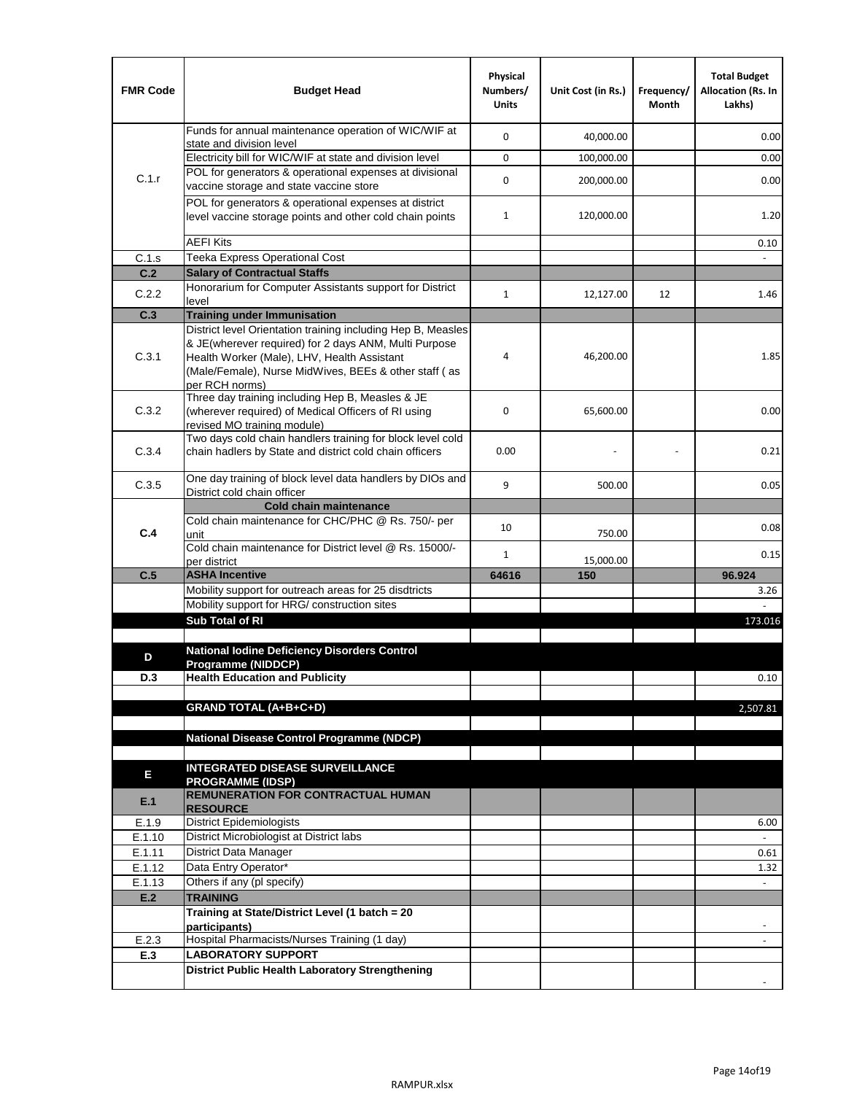| <b>FMR Code</b> | <b>Budget Head</b>                                                                                                                                                              | Physical<br>Numbers/<br><b>Units</b> | Unit Cost (in Rs.) | Frequency/<br>Month | <b>Total Budget</b><br>Allocation (Rs. In<br>Lakhs) |
|-----------------|---------------------------------------------------------------------------------------------------------------------------------------------------------------------------------|--------------------------------------|--------------------|---------------------|-----------------------------------------------------|
|                 | Funds for annual maintenance operation of WIC/WIF at<br>state and division level                                                                                                | 0                                    | 40,000.00          |                     | 0.00                                                |
|                 | Electricity bill for WIC/WIF at state and division level                                                                                                                        | 0                                    | 100,000.00         |                     | 0.00                                                |
| C.1.r           | POL for generators & operational expenses at divisional<br>vaccine storage and state vaccine store                                                                              | 0                                    | 200,000.00         |                     | 0.00                                                |
|                 | POL for generators & operational expenses at district<br>level vaccine storage points and other cold chain points                                                               | $\mathbf{1}$                         | 120,000.00         |                     | 1.20                                                |
|                 | <b>AEFI Kits</b>                                                                                                                                                                |                                      |                    |                     | 0.10                                                |
| C.1.s           | Teeka Express Operational Cost                                                                                                                                                  |                                      |                    |                     |                                                     |
| C.2             | <b>Salary of Contractual Staffs</b>                                                                                                                                             |                                      |                    |                     |                                                     |
| C.2.2           | Honorarium for Computer Assistants support for District<br>level                                                                                                                | $\mathbf{1}$                         | 12,127.00          | 12                  | 1.46                                                |
| C.3             | <b>Training under Immunisation</b>                                                                                                                                              |                                      |                    |                     |                                                     |
|                 | District level Orientation training including Hep B, Measles                                                                                                                    |                                      |                    |                     |                                                     |
| C.3.1           | & JE(wherever required) for 2 days ANM, Multi Purpose<br>Health Worker (Male), LHV, Health Assistant<br>(Male/Female), Nurse MidWives, BEEs & other staff (as<br>per RCH norms) | 4                                    | 46,200.00          |                     | 1.85                                                |
| C.3.2           | Three day training including Hep B, Measles & JE<br>(wherever required) of Medical Officers of RI using<br>revised MO training module)                                          | 0                                    | 65,600.00          |                     | 0.00                                                |
| C.3.4           | Two days cold chain handlers training for block level cold<br>chain hadlers by State and district cold chain officers                                                           | 0.00                                 |                    |                     | 0.21                                                |
| C.3.5           | One day training of block level data handlers by DIOs and<br>District cold chain officer                                                                                        | 9                                    | 500.00             |                     | 0.05                                                |
|                 | <b>Cold chain maintenance</b>                                                                                                                                                   |                                      |                    |                     |                                                     |
| C.4             | Cold chain maintenance for CHC/PHC @ Rs. 750/- per<br>unit                                                                                                                      | 10                                   | 750.00             |                     | 0.08                                                |
|                 | Cold chain maintenance for District level @ Rs. 15000/-<br>per district                                                                                                         | $\mathbf{1}$                         | 15,000.00          |                     | 0.15                                                |
| C.5             | <b>ASHA Incentive</b>                                                                                                                                                           | 64616                                | 150                |                     | 96.924                                              |
|                 | Mobility support for outreach areas for 25 disdtricts                                                                                                                           |                                      |                    |                     | 3.26                                                |
|                 | Mobility support for HRG/ construction sites                                                                                                                                    |                                      |                    |                     |                                                     |
|                 | Sub Total of RI                                                                                                                                                                 |                                      |                    |                     | 173.016                                             |
| D               | <b>National Iodine Deficiency Disorders Control</b>                                                                                                                             |                                      |                    |                     |                                                     |
| D.3             | Programme (NIDDCP)<br><b>Health Education and Publicity</b>                                                                                                                     |                                      |                    |                     | 0.10                                                |
|                 | <b>GRAND TOTAL (A+B+C+D)</b>                                                                                                                                                    |                                      |                    |                     | 2,507.81                                            |
|                 |                                                                                                                                                                                 |                                      |                    |                     |                                                     |
|                 | <b>National Disease Control Programme (NDCP)</b>                                                                                                                                |                                      |                    |                     |                                                     |
| Ε               | <b>INTEGRATED DISEASE SURVEILLANCE</b><br><b>PROGRAMME (IDSP)</b>                                                                                                               |                                      |                    |                     |                                                     |
| E.1             | <b>REMUNERATION FOR CONTRACTUAL HUMAN</b><br><b>RESOURCE</b>                                                                                                                    |                                      |                    |                     |                                                     |
| E.1.9           | District Epidemiologists                                                                                                                                                        |                                      |                    |                     | 6.00                                                |
| E.1.10          | District Microbiologist at District labs                                                                                                                                        |                                      |                    |                     |                                                     |
| E.1.11          | District Data Manager                                                                                                                                                           |                                      |                    |                     | 0.61                                                |
| E.1.12          | Data Entry Operator*                                                                                                                                                            |                                      |                    |                     | 1.32                                                |
| E.1.13          | Others if any (pl specify)<br><b>TRAINING</b>                                                                                                                                   |                                      |                    |                     | $\mathbb{Z}^2$                                      |
| E.2             | Training at State/District Level (1 batch = 20                                                                                                                                  |                                      |                    |                     |                                                     |
|                 | participants)                                                                                                                                                                   |                                      |                    |                     |                                                     |
| E.2.3           | Hospital Pharmacists/Nurses Training (1 day)                                                                                                                                    |                                      |                    |                     |                                                     |
| E.3             | <b>LABORATORY SUPPORT</b>                                                                                                                                                       |                                      |                    |                     |                                                     |
|                 | <b>District Public Health Laboratory Strengthening</b>                                                                                                                          |                                      |                    |                     |                                                     |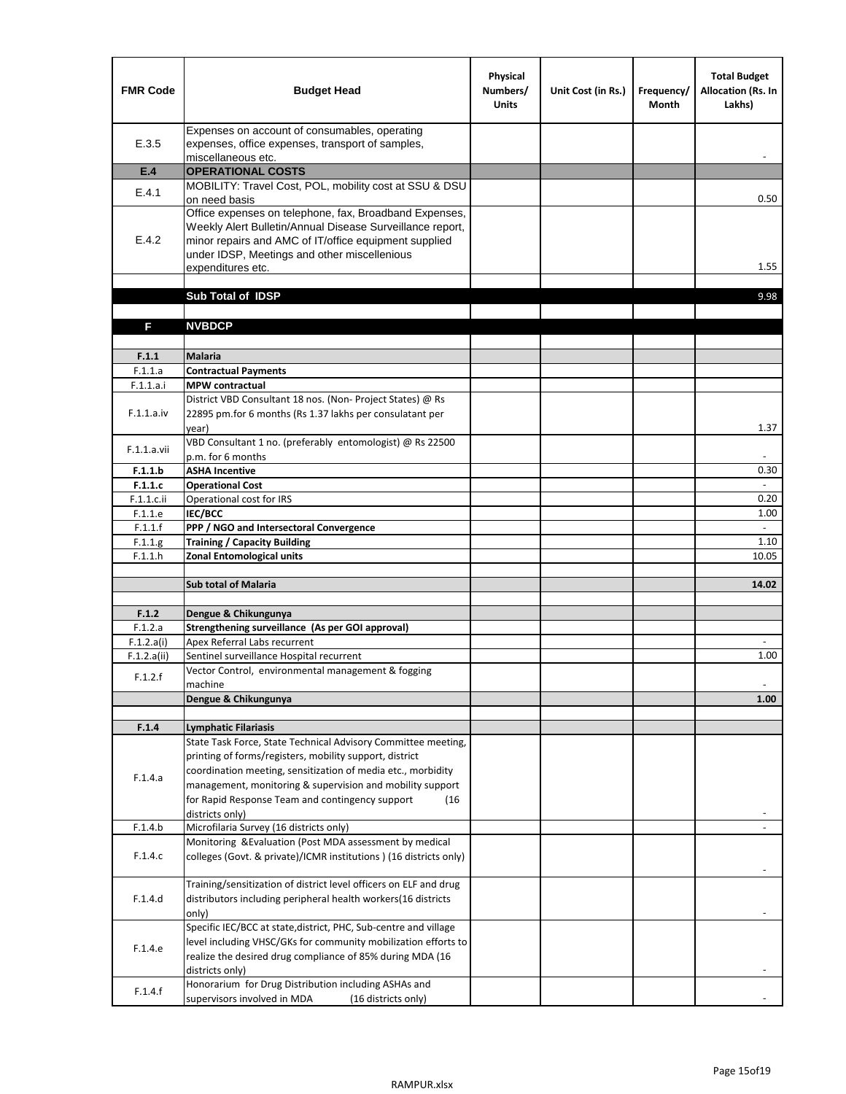| <b>FMR Code</b>           | <b>Budget Head</b>                                                                                                                                                                                                                                | Physical<br>Numbers/<br><b>Units</b> | Unit Cost (in Rs.) | Frequency/<br><b>Month</b> | <b>Total Budget</b><br>Allocation (Rs. In<br>Lakhs) |
|---------------------------|---------------------------------------------------------------------------------------------------------------------------------------------------------------------------------------------------------------------------------------------------|--------------------------------------|--------------------|----------------------------|-----------------------------------------------------|
| E.3.5                     | Expenses on account of consumables, operating<br>expenses, office expenses, transport of samples,<br>miscellaneous etc.                                                                                                                           |                                      |                    |                            |                                                     |
| E.4                       | <b>OPERATIONAL COSTS</b>                                                                                                                                                                                                                          |                                      |                    |                            |                                                     |
| E.4.1                     | MOBILITY: Travel Cost, POL, mobility cost at SSU & DSU                                                                                                                                                                                            |                                      |                    |                            |                                                     |
|                           | on need basis                                                                                                                                                                                                                                     |                                      |                    |                            | 0.50                                                |
| E.4.2                     | Office expenses on telephone, fax, Broadband Expenses,<br>Weekly Alert Bulletin/Annual Disease Surveillance report,<br>minor repairs and AMC of IT/office equipment supplied<br>under IDSP, Meetings and other miscellenious<br>expenditures etc. |                                      |                    |                            | 1.55                                                |
|                           | Sub Total of IDSP                                                                                                                                                                                                                                 |                                      |                    |                            | 9.98                                                |
|                           |                                                                                                                                                                                                                                                   |                                      |                    |                            |                                                     |
| F                         | <b>NVBDCP</b>                                                                                                                                                                                                                                     |                                      |                    |                            |                                                     |
|                           |                                                                                                                                                                                                                                                   |                                      |                    |                            |                                                     |
| F.1.1                     | <b>Malaria</b>                                                                                                                                                                                                                                    |                                      |                    |                            |                                                     |
| F.1.1.a                   | <b>Contractual Payments</b>                                                                                                                                                                                                                       |                                      |                    |                            |                                                     |
| F.1.1.a.i                 | <b>MPW</b> contractual<br>District VBD Consultant 18 nos. (Non-Project States) @ Rs                                                                                                                                                               |                                      |                    |                            |                                                     |
| F.1.1.a.iv                | 22895 pm.for 6 months (Rs 1.37 lakhs per consulatant per<br>year)                                                                                                                                                                                 |                                      |                    |                            | 1.37                                                |
|                           | VBD Consultant 1 no. (preferably entomologist) @ Rs 22500                                                                                                                                                                                         |                                      |                    |                            |                                                     |
| F.1.1.a.vii               | p.m. for 6 months                                                                                                                                                                                                                                 |                                      |                    |                            |                                                     |
| F.1.1.b                   | <b>ASHA Incentive</b>                                                                                                                                                                                                                             |                                      |                    |                            | 0.30                                                |
| F.1.1.c                   | <b>Operational Cost</b>                                                                                                                                                                                                                           |                                      |                    |                            |                                                     |
| $F.1.1.c.$ ii             | Operational cost for IRS                                                                                                                                                                                                                          |                                      |                    |                            | 0.20                                                |
| F.1.1.e                   | <b>IEC/BCC</b>                                                                                                                                                                                                                                    |                                      |                    |                            | 1.00<br>$\mathcal{L}^{\pm}$                         |
| F.1.1.f                   | PPP / NGO and Intersectoral Convergence                                                                                                                                                                                                           |                                      |                    |                            |                                                     |
| F.1.1.g<br>F.1.1.h        | <b>Training / Capacity Building</b><br><b>Zonal Entomological units</b>                                                                                                                                                                           |                                      |                    |                            | 1.10<br>10.05                                       |
|                           |                                                                                                                                                                                                                                                   |                                      |                    |                            |                                                     |
|                           | <b>Sub total of Malaria</b>                                                                                                                                                                                                                       |                                      |                    |                            | 14.02                                               |
|                           |                                                                                                                                                                                                                                                   |                                      |                    |                            |                                                     |
| F.1.2                     | Dengue & Chikungunya                                                                                                                                                                                                                              |                                      |                    |                            |                                                     |
| F.1.2.a                   | Strengthening surveillance (As per GOI approval)                                                                                                                                                                                                  |                                      |                    |                            |                                                     |
| F.1.2.a(i)<br>F.1.2.a(ii) | Apex Referral Labs recurrent<br>Sentinel surveillance Hospital recurrent                                                                                                                                                                          |                                      |                    |                            | 1.00                                                |
|                           | Vector Control, environmental management & fogging                                                                                                                                                                                                |                                      |                    |                            |                                                     |
| F.1.2.f                   | machine                                                                                                                                                                                                                                           |                                      |                    |                            |                                                     |
|                           | Dengue & Chikungunya                                                                                                                                                                                                                              |                                      |                    |                            | 1.00                                                |
|                           |                                                                                                                                                                                                                                                   |                                      |                    |                            |                                                     |
| F.1.4                     | <b>Lymphatic Filariasis</b>                                                                                                                                                                                                                       |                                      |                    |                            |                                                     |
|                           | State Task Force, State Technical Advisory Committee meeting,                                                                                                                                                                                     |                                      |                    |                            |                                                     |
|                           | printing of forms/registers, mobility support, district<br>coordination meeting, sensitization of media etc., morbidity                                                                                                                           |                                      |                    |                            |                                                     |
| F.1.4.a                   | management, monitoring & supervision and mobility support                                                                                                                                                                                         |                                      |                    |                            |                                                     |
|                           | for Rapid Response Team and contingency support<br>(16)                                                                                                                                                                                           |                                      |                    |                            |                                                     |
|                           | districts only)                                                                                                                                                                                                                                   |                                      |                    |                            |                                                     |
| F.1.4.b                   | Microfilaria Survey (16 districts only)                                                                                                                                                                                                           |                                      |                    |                            |                                                     |
| F.1.4.c                   | Monitoring & Evaluation (Post MDA assessment by medical<br>colleges (Govt. & private)/ICMR institutions ) (16 districts only)                                                                                                                     |                                      |                    |                            |                                                     |
|                           |                                                                                                                                                                                                                                                   |                                      |                    |                            |                                                     |
|                           | Training/sensitization of district level officers on ELF and drug                                                                                                                                                                                 |                                      |                    |                            |                                                     |
| F.1.4.d                   | distributors including peripheral health workers(16 districts                                                                                                                                                                                     |                                      |                    |                            |                                                     |
|                           | only)<br>Specific IEC/BCC at state, district, PHC, Sub-centre and village                                                                                                                                                                         |                                      |                    |                            |                                                     |
|                           | level including VHSC/GKs for community mobilization efforts to                                                                                                                                                                                    |                                      |                    |                            |                                                     |
| F.1.4.e                   | realize the desired drug compliance of 85% during MDA (16                                                                                                                                                                                         |                                      |                    |                            |                                                     |
|                           | districts only)                                                                                                                                                                                                                                   |                                      |                    |                            |                                                     |
| F.1.4.f                   | Honorarium for Drug Distribution including ASHAs and                                                                                                                                                                                              |                                      |                    |                            |                                                     |
|                           | supervisors involved in MDA<br>(16 districts only)                                                                                                                                                                                                |                                      |                    |                            |                                                     |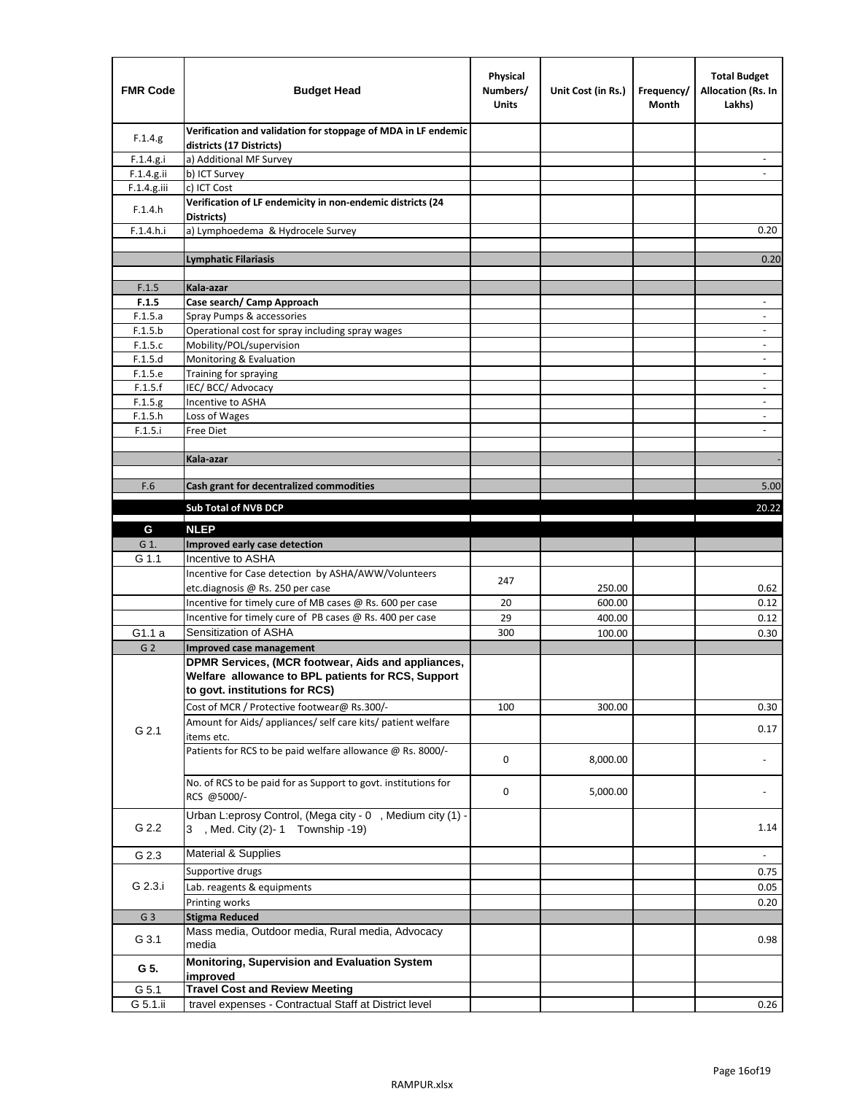| <b>FMR Code</b>    | <b>Budget Head</b>                                                                           | Physical<br>Numbers/<br>Units | Unit Cost (in Rs.) | Frequency/<br>Month | <b>Total Budget</b><br><b>Allocation (Rs. In</b><br>Lakhs) |
|--------------------|----------------------------------------------------------------------------------------------|-------------------------------|--------------------|---------------------|------------------------------------------------------------|
| F.1.4.g.           | Verification and validation for stoppage of MDA in LF endemic<br>districts (17 Districts)    |                               |                    |                     |                                                            |
| F.1.4.g.i          | a) Additional MF Survey                                                                      |                               |                    |                     |                                                            |
| F.1.4.g.ii         | b) ICT Survey                                                                                |                               |                    |                     |                                                            |
| F.1.4.g.iii        | c) ICT Cost                                                                                  |                               |                    |                     |                                                            |
| F.1.4.h            | Verification of LF endemicity in non-endemic districts (24<br>Districts)                     |                               |                    |                     |                                                            |
| F.1.4.h.i          | a) Lymphoedema & Hydrocele Survey                                                            |                               |                    |                     | 0.20                                                       |
|                    | <b>Lymphatic Filariasis</b>                                                                  |                               |                    |                     | 0.20                                                       |
|                    |                                                                                              |                               |                    |                     |                                                            |
| F.1.5              | Kala-azar                                                                                    |                               |                    |                     |                                                            |
| F.1.5              | Case search/ Camp Approach                                                                   |                               |                    |                     | $\overline{\phantom{a}}$                                   |
| F.1.5.a            | Spray Pumps & accessories                                                                    |                               |                    |                     | $\overline{\phantom{a}}$                                   |
| F.1.5.b            | Operational cost for spray including spray wages                                             |                               |                    |                     |                                                            |
| F.1.5.c            | Mobility/POL/supervision                                                                     |                               |                    |                     | $\overline{\phantom{a}}$                                   |
| F.1.5.d            | Monitoring & Evaluation                                                                      |                               |                    |                     |                                                            |
| F.1.5.e            | Training for spraying                                                                        |                               |                    |                     | $\blacksquare$                                             |
| F.1.5.f            | IEC/BCC/Advocacy<br>Incentive to ASHA                                                        |                               |                    |                     | $\overline{\phantom{a}}$                                   |
| F.1.5.g<br>F.1.5.h | Loss of Wages                                                                                |                               |                    |                     | $\overline{\phantom{a}}$                                   |
| F.1.5.i            | Free Diet                                                                                    |                               |                    |                     |                                                            |
|                    |                                                                                              |                               |                    |                     |                                                            |
|                    | Kala-azar                                                                                    |                               |                    |                     |                                                            |
|                    |                                                                                              |                               |                    |                     |                                                            |
| F.6                | Cash grant for decentralized commodities                                                     |                               |                    |                     | 5.00                                                       |
|                    | Sub Total of NVB DCP                                                                         |                               |                    |                     | 20.22                                                      |
|                    |                                                                                              |                               |                    |                     |                                                            |
| G                  | <b>NLEP</b>                                                                                  |                               |                    |                     |                                                            |
| G 1.               | Improved early case detection                                                                |                               |                    |                     |                                                            |
| G 1.1              | Incentive to ASHA                                                                            |                               |                    |                     |                                                            |
|                    | Incentive for Case detection by ASHA/AWW/Volunteers                                          | 247                           |                    |                     |                                                            |
|                    | etc.diagnosis @ Rs. 250 per case<br>Incentive for timely cure of MB cases @ Rs. 600 per case | 20                            | 250.00<br>600.00   |                     | 0.62<br>0.12                                               |
|                    | Incentive for timely cure of PB cases @ Rs. 400 per case                                     | 29                            | 400.00             |                     | 0.12                                                       |
| G1.1 a             | Sensitization of ASHA                                                                        | 300                           | 100.00             |                     | 0.30                                                       |
| G <sub>2</sub>     | <b>Improved case management</b>                                                              |                               |                    |                     |                                                            |
|                    | DPMR Services, (MCR footwear, Aids and appliances,                                           |                               |                    |                     |                                                            |
|                    | Welfare allowance to BPL patients for RCS, Support                                           |                               |                    |                     |                                                            |
|                    | to govt. institutions for RCS)                                                               |                               |                    |                     |                                                            |
|                    | Cost of MCR / Protective footwear@ Rs.300/-                                                  | 100                           | 300.00             |                     | 0.30                                                       |
| G 2.1              | Amount for Aids/ appliances/ self care kits/ patient welfare                                 |                               |                    |                     | 0.17                                                       |
|                    | items etc.                                                                                   |                               |                    |                     |                                                            |
|                    | Patients for RCS to be paid welfare allowance @ Rs. 8000/-                                   | 0                             | 8,000.00           |                     |                                                            |
|                    |                                                                                              |                               |                    |                     |                                                            |
|                    | No. of RCS to be paid for as Support to govt. institutions for                               | 0                             | 5,000.00           |                     |                                                            |
|                    | RCS @5000/-                                                                                  |                               |                    |                     |                                                            |
| G 2.2              | Urban L:eprosy Control, (Mega city - 0, Medium city (1) -                                    |                               |                    |                     |                                                            |
|                    | 3 , Med. City (2)-1 Township -19)                                                            |                               |                    |                     | 1.14                                                       |
| G 2.3              | Material & Supplies                                                                          |                               |                    |                     | $\blacksquare$                                             |
|                    | Supportive drugs                                                                             |                               |                    |                     | 0.75                                                       |
| G 2.3.i            | Lab. reagents & equipments                                                                   |                               |                    |                     | 0.05                                                       |
|                    | Printing works                                                                               |                               |                    |                     | 0.20                                                       |
| G <sub>3</sub>     | <b>Stigma Reduced</b>                                                                        |                               |                    |                     |                                                            |
|                    | Mass media, Outdoor media, Rural media, Advocacy                                             |                               |                    |                     |                                                            |
| G 3.1              | media                                                                                        |                               |                    |                     | 0.98                                                       |
|                    | Monitoring, Supervision and Evaluation System                                                |                               |                    |                     |                                                            |
| G 5.               | improved                                                                                     |                               |                    |                     |                                                            |
| G 5.1              | <b>Travel Cost and Review Meeting</b>                                                        |                               |                    |                     |                                                            |
| G 5.1.ii           | travel expenses - Contractual Staff at District level                                        |                               |                    |                     | 0.26                                                       |
|                    |                                                                                              |                               |                    |                     |                                                            |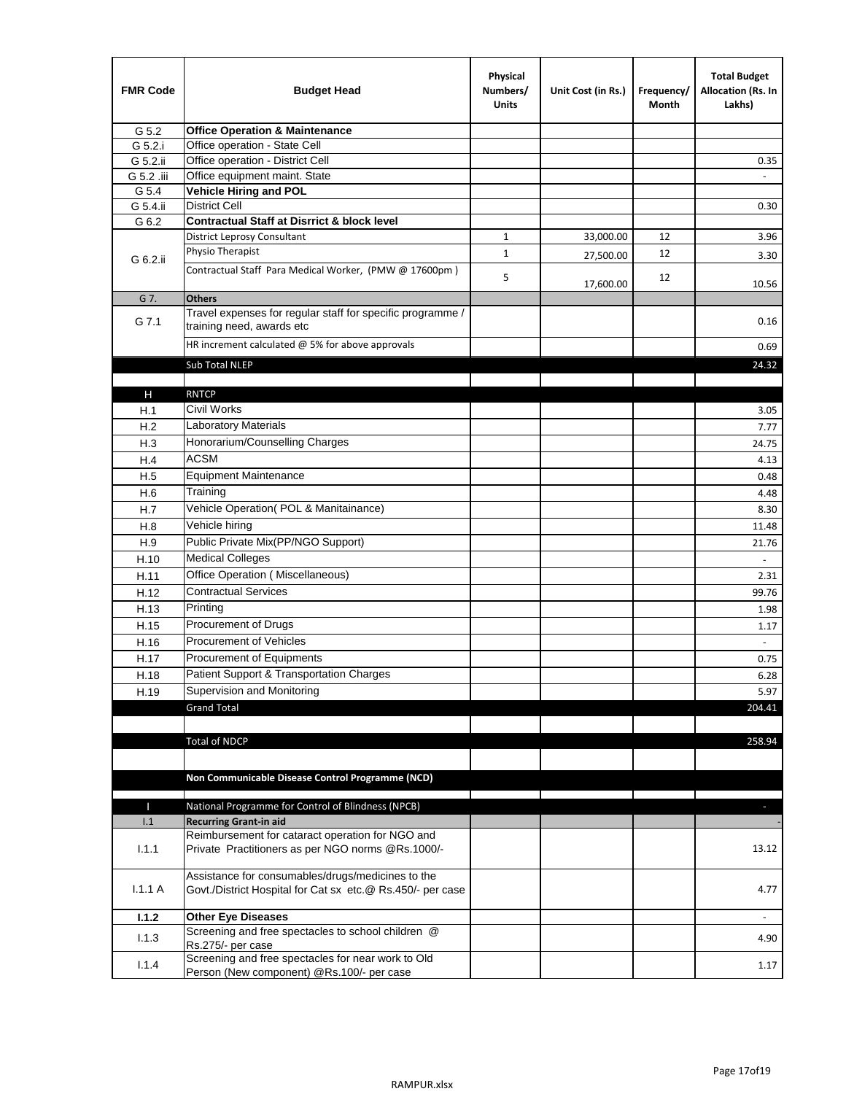| <b>FMR Code</b> | <b>Budget Head</b>                                                                                              | Physical<br>Numbers/<br><b>Units</b> | Unit Cost (in Rs.) | Frequency/<br>Month | <b>Total Budget</b><br>Allocation (Rs. In<br>Lakhs) |
|-----------------|-----------------------------------------------------------------------------------------------------------------|--------------------------------------|--------------------|---------------------|-----------------------------------------------------|
| G 5.2           | <b>Office Operation &amp; Maintenance</b>                                                                       |                                      |                    |                     |                                                     |
| G 5.2.i         | Office operation - State Cell                                                                                   |                                      |                    |                     |                                                     |
| G 5.2.ii        | Office operation - District Cell                                                                                |                                      |                    |                     | 0.35                                                |
| G 5.2 .iii      | Office equipment maint. State                                                                                   |                                      |                    |                     |                                                     |
| G 5.4           | Vehicle Hiring and POL                                                                                          |                                      |                    |                     |                                                     |
| G 5.4.ii        | <b>District Cell</b>                                                                                            |                                      |                    |                     | 0.30                                                |
| G 6.2           | <b>Contractual Staff at Disrrict &amp; block level</b>                                                          |                                      |                    |                     |                                                     |
|                 | <b>District Leprosy Consultant</b>                                                                              | 1                                    | 33,000.00          | 12                  | 3.96                                                |
| G 6.2.ii        | Physio Therapist                                                                                                | $\mathbf{1}$                         | 27,500.00          | 12                  | 3.30                                                |
|                 | Contractual Staff Para Medical Worker, (PMW @ 17600pm)                                                          | 5                                    | 17,600.00          | 12                  | 10.56                                               |
| G 7.            | <b>Others</b>                                                                                                   |                                      |                    |                     |                                                     |
| G 7.1           | Travel expenses for regular staff for specific programme /<br>training need, awards etc                         |                                      |                    |                     | 0.16                                                |
|                 | HR increment calculated $@$ 5% for above approvals                                                              |                                      |                    |                     | 0.69                                                |
|                 | Sub Total NLEP                                                                                                  |                                      |                    |                     | 24.32                                               |
|                 |                                                                                                                 |                                      |                    |                     |                                                     |
| Н               | <b>RNTCP</b>                                                                                                    |                                      |                    |                     |                                                     |
| H.1             | Civil Works                                                                                                     |                                      |                    |                     | 3.05                                                |
| H.2             | Laboratory Materials                                                                                            |                                      |                    |                     | 7.77                                                |
| H.3             | Honorarium/Counselling Charges                                                                                  |                                      |                    |                     | 24.75                                               |
| H.4             | <b>ACSM</b>                                                                                                     |                                      |                    |                     | 4.13                                                |
| H.5             | <b>Equipment Maintenance</b>                                                                                    |                                      |                    |                     | 0.48                                                |
| H.6             | Training                                                                                                        |                                      |                    |                     | 4.48                                                |
| H.7             | Vehicle Operation(POL & Manitainance)                                                                           |                                      |                    |                     | 8.30                                                |
| H.8             | Vehicle hiring                                                                                                  |                                      |                    |                     | 11.48                                               |
| H.9             | Public Private Mix(PP/NGO Support)                                                                              |                                      |                    |                     | 21.76                                               |
| H.10            | <b>Medical Colleges</b>                                                                                         |                                      |                    |                     |                                                     |
| H.11            | Office Operation (Miscellaneous)                                                                                |                                      |                    |                     | 2.31                                                |
| H.12            | <b>Contractual Services</b>                                                                                     |                                      |                    |                     | 99.76                                               |
| H.13            | Printing                                                                                                        |                                      |                    |                     | 1.98                                                |
| H.15            | Procurement of Drugs                                                                                            |                                      |                    |                     | 1.17                                                |
| H.16            | Procurement of Vehicles                                                                                         |                                      |                    |                     | $\sim$                                              |
| H.17            | Procurement of Equipments                                                                                       |                                      |                    |                     | 0.75                                                |
| H.18            | Patient Support & Transportation Charges                                                                        |                                      |                    |                     | 6.28                                                |
| H.19            | Supervision and Monitoring                                                                                      |                                      |                    |                     | 5.97                                                |
|                 | <b>Grand Total</b>                                                                                              |                                      |                    |                     | 204.41                                              |
|                 |                                                                                                                 |                                      |                    |                     |                                                     |
|                 | <b>Total of NDCP</b>                                                                                            |                                      |                    |                     | 258.94                                              |
|                 | Non Communicable Disease Control Programme (NCD)                                                                |                                      |                    |                     |                                                     |
| Т               | National Programme for Control of Blindness (NPCB)                                                              |                                      |                    |                     | ÷.                                                  |
| 1.1             | <b>Recurring Grant-in aid</b>                                                                                   |                                      |                    |                     |                                                     |
|                 | Reimbursement for cataract operation for NGO and                                                                |                                      |                    |                     |                                                     |
| 1.1.1           | Private Practitioners as per NGO norms @Rs.1000/-                                                               |                                      |                    |                     | 13.12                                               |
| 1.1.1A          | Assistance for consumables/drugs/medicines to the<br>Govt./District Hospital for Cat sx etc.@ Rs.450/- per case |                                      |                    |                     | 4.77                                                |
| 1.1.2           | <b>Other Eye Diseases</b>                                                                                       |                                      |                    |                     |                                                     |
| 1.1.3           | Screening and free spectacles to school children @                                                              |                                      |                    |                     | 4.90                                                |
|                 | Rs.275/- per case                                                                                               |                                      |                    |                     |                                                     |
| 1.1.4           | Screening and free spectacles for near work to Old<br>Person (New component) @Rs.100/- per case                 |                                      |                    |                     | 1.17                                                |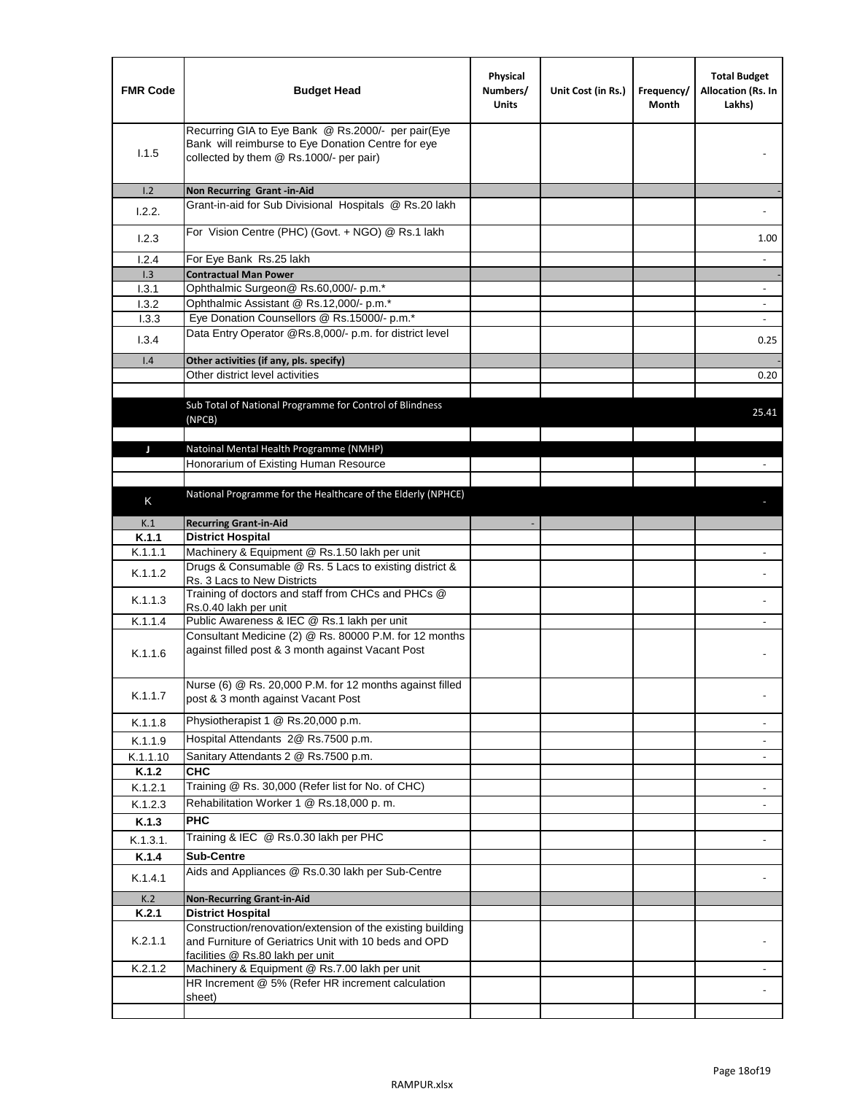| <b>FMR Code</b> | <b>Budget Head</b>                                                                                                                                      | Physical<br>Numbers/<br><b>Units</b> | Unit Cost (in Rs.) | Frequency/<br>Month | <b>Total Budget</b><br>Allocation (Rs. In<br>Lakhs) |
|-----------------|---------------------------------------------------------------------------------------------------------------------------------------------------------|--------------------------------------|--------------------|---------------------|-----------------------------------------------------|
| 1.1.5           | Recurring GIA to Eye Bank @ Rs.2000/- per pair(Eye<br>Bank will reimburse to Eye Donation Centre for eye<br>collected by them @ Rs.1000/- per pair)     |                                      |                    |                     |                                                     |
| 1.2             | Non Recurring Grant -in-Aid                                                                                                                             |                                      |                    |                     |                                                     |
| 1.2.2.          | Grant-in-aid for Sub Divisional Hospitals @ Rs.20 lakh                                                                                                  |                                      |                    |                     |                                                     |
| 1.2.3           | For Vision Centre (PHC) (Govt. + NGO) @ Rs.1 lakh                                                                                                       |                                      |                    |                     | 1.00                                                |
| 1.2.4           | For Eye Bank Rs.25 lakh                                                                                                                                 |                                      |                    |                     | $\blacksquare$                                      |
| 1.3             | <b>Contractual Man Power</b>                                                                                                                            |                                      |                    |                     |                                                     |
| 1.3.1           | Ophthalmic Surgeon@ Rs.60,000/- p.m.*                                                                                                                   |                                      |                    |                     | $\overline{\phantom{a}}$                            |
| 1.3.2           | Ophthalmic Assistant @ Rs.12,000/- p.m.*                                                                                                                |                                      |                    |                     |                                                     |
| 1.3.3           | Eye Donation Counsellors @ Rs.15000/- p.m.*                                                                                                             |                                      |                    |                     | $\omega$                                            |
| 1.3.4           | Data Entry Operator @Rs.8,000/- p.m. for district level                                                                                                 |                                      |                    |                     | 0.25                                                |
| 1.4             | Other activities (if any, pls. specify)                                                                                                                 |                                      |                    |                     |                                                     |
|                 | Other district level activities                                                                                                                         |                                      |                    |                     | 0.20                                                |
|                 |                                                                                                                                                         |                                      |                    |                     |                                                     |
|                 | Sub Total of National Programme for Control of Blindness<br>(NPCB)                                                                                      |                                      |                    |                     | 25.41                                               |
|                 |                                                                                                                                                         |                                      |                    |                     |                                                     |
| J               | Natoinal Mental Health Programme (NMHP)                                                                                                                 |                                      |                    |                     |                                                     |
|                 | Honorarium of Existing Human Resource                                                                                                                   |                                      |                    |                     |                                                     |
|                 |                                                                                                                                                         |                                      |                    |                     |                                                     |
| Κ               | National Programme for the Healthcare of the Elderly (NPHCE)                                                                                            |                                      |                    |                     |                                                     |
|                 |                                                                                                                                                         |                                      |                    |                     |                                                     |
| K.1             | <b>Recurring Grant-in-Aid</b>                                                                                                                           |                                      |                    |                     |                                                     |
| K.1.1           | <b>District Hospital</b>                                                                                                                                |                                      |                    |                     |                                                     |
| K.1.1.1         | Machinery & Equipment @ Rs.1.50 lakh per unit<br>Drugs & Consumable @ Rs. 5 Lacs to existing district &                                                 |                                      |                    |                     |                                                     |
| K.1.1.2         | Rs. 3 Lacs to New Districts                                                                                                                             |                                      |                    |                     |                                                     |
| K.1.1.3         | Training of doctors and staff from CHCs and PHCs @<br>Rs.0.40 lakh per unit                                                                             |                                      |                    |                     |                                                     |
| K.1.1.4         | Public Awareness & IEC @ Rs.1 lakh per unit                                                                                                             |                                      |                    |                     |                                                     |
| K.1.1.6         | Consultant Medicine (2) @ Rs. 80000 P.M. for 12 months<br>against filled post & 3 month against Vacant Post                                             |                                      |                    |                     |                                                     |
| K.1.1.7         | Nurse (6) @ Rs. 20,000 P.M. for 12 months against filled<br>post & 3 month against Vacant Post                                                          |                                      |                    |                     |                                                     |
| K.1.1.8         | Physiotherapist 1 @ Rs.20,000 p.m.                                                                                                                      |                                      |                    |                     |                                                     |
| K.1.1.9         | Hospital Attendants 2@ Rs.7500 p.m.                                                                                                                     |                                      |                    |                     |                                                     |
| K.1.1.10        | Sanitary Attendants 2 @ Rs.7500 p.m.                                                                                                                    |                                      |                    |                     | $\overline{\phantom{a}}$                            |
| K.1.2           | <b>CHC</b>                                                                                                                                              |                                      |                    |                     |                                                     |
| K.1.2.1         | Training @ Rs. 30,000 (Refer list for No. of CHC)                                                                                                       |                                      |                    |                     |                                                     |
| K.1.2.3         | Rehabilitation Worker 1 @ Rs.18,000 p.m.                                                                                                                |                                      |                    |                     | $\overline{\phantom{a}}$                            |
| K.1.3           | <b>PHC</b>                                                                                                                                              |                                      |                    |                     |                                                     |
|                 |                                                                                                                                                         |                                      |                    |                     |                                                     |
| K.1.3.1.        | Training & IEC @ Rs.0.30 lakh per PHC                                                                                                                   |                                      |                    |                     |                                                     |
| K.1.4           | <b>Sub-Centre</b>                                                                                                                                       |                                      |                    |                     |                                                     |
| K.1.4.1         | Aids and Appliances @ Rs.0.30 lakh per Sub-Centre                                                                                                       |                                      |                    |                     |                                                     |
| K.2             | <b>Non-Recurring Grant-in-Aid</b>                                                                                                                       |                                      |                    |                     |                                                     |
| K.2.1           | <b>District Hospital</b>                                                                                                                                |                                      |                    |                     |                                                     |
| K.2.1.1         | Construction/renovation/extension of the existing building<br>and Furniture of Geriatrics Unit with 10 beds and OPD<br>facilities @ Rs.80 lakh per unit |                                      |                    |                     |                                                     |
| K.2.1.2         | Machinery & Equipment @ Rs.7.00 lakh per unit                                                                                                           |                                      |                    |                     |                                                     |
|                 | HR Increment @ 5% (Refer HR increment calculation                                                                                                       |                                      |                    |                     |                                                     |
|                 | sheet)                                                                                                                                                  |                                      |                    |                     |                                                     |